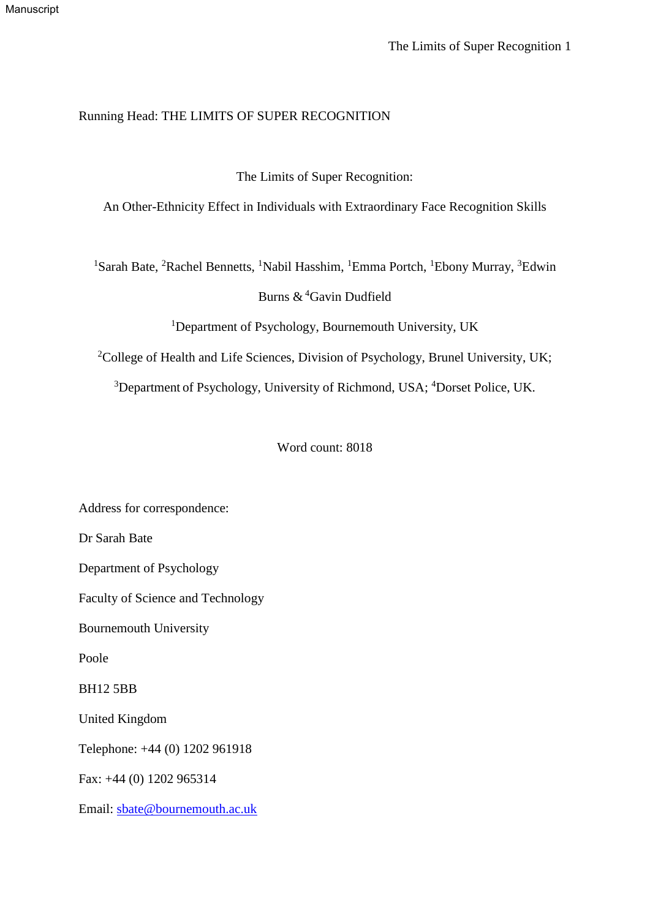# Running Head: THE LIMITS OF SUPER RECOGNITION

# The Limits of Super Recognition:

An Other-Ethnicity Effect in Individuals with Extraordinary Face Recognition Skills

<sup>1</sup>Sarah Bate, <sup>2</sup>Rachel Bennetts, <sup>1</sup>Nabil Hasshim, <sup>1</sup>Emma Portch, <sup>1</sup>Ebony Murray, <sup>3</sup>Edwin

Burns & <sup>4</sup>Gavin Dudfield

<sup>1</sup>Department of Psychology, Bournemouth University, UK

<sup>2</sup>College of Health and Life Sciences, Division of Psychology, Brunel University, UK;

<sup>3</sup>Department of Psychology, University of Richmond, USA; <sup>4</sup>Dorset Police, UK.

Word count: 8018

Address for correspondence:

Dr Sarah Bate

Department of Psychology

Faculty of Science and Technology

Bournemouth University

Poole

BH12 5BB

United Kingdom

Telephone: +44 (0) 1202 961918

Fax: +44 (0) 1202 965314

Email: [sbate@bournemouth.ac.uk](mailto:sbate@bournemouth.ac.uk)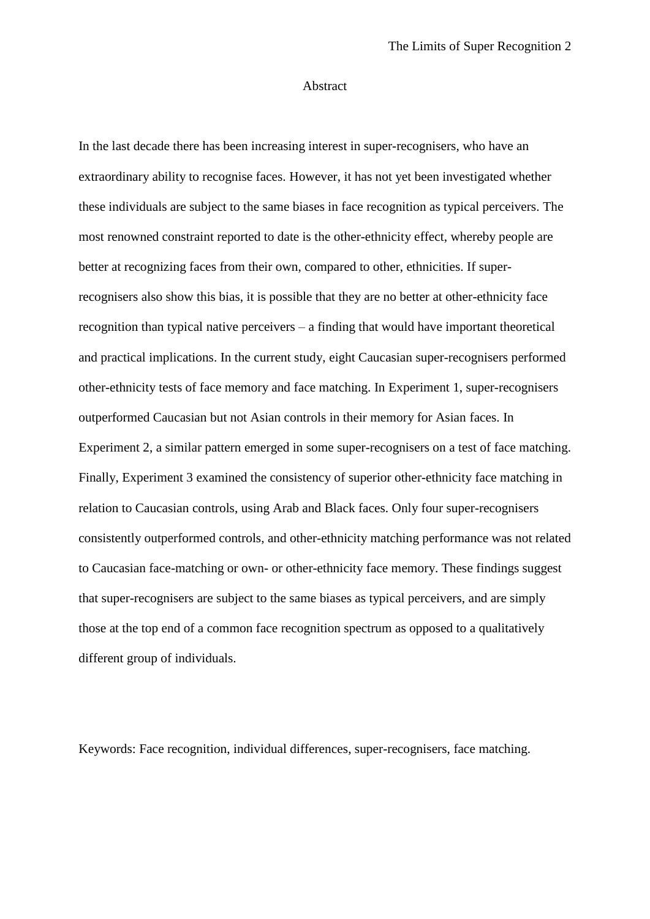#### Abstract

In the last decade there has been increasing interest in super-recognisers, who have an extraordinary ability to recognise faces. However, it has not yet been investigated whether these individuals are subject to the same biases in face recognition as typical perceivers. The most renowned constraint reported to date is the other-ethnicity effect, whereby people are better at recognizing faces from their own, compared to other, ethnicities. If superrecognisers also show this bias, it is possible that they are no better at other-ethnicity face recognition than typical native perceivers – a finding that would have important theoretical and practical implications. In the current study, eight Caucasian super-recognisers performed other-ethnicity tests of face memory and face matching. In Experiment 1, super-recognisers outperformed Caucasian but not Asian controls in their memory for Asian faces. In Experiment 2, a similar pattern emerged in some super-recognisers on a test of face matching. Finally, Experiment 3 examined the consistency of superior other-ethnicity face matching in relation to Caucasian controls, using Arab and Black faces. Only four super-recognisers consistently outperformed controls, and other-ethnicity matching performance was not related to Caucasian face-matching or own- or other-ethnicity face memory. These findings suggest that super-recognisers are subject to the same biases as typical perceivers, and are simply those at the top end of a common face recognition spectrum as opposed to a qualitatively different group of individuals.

Keywords: Face recognition, individual differences, super-recognisers, face matching.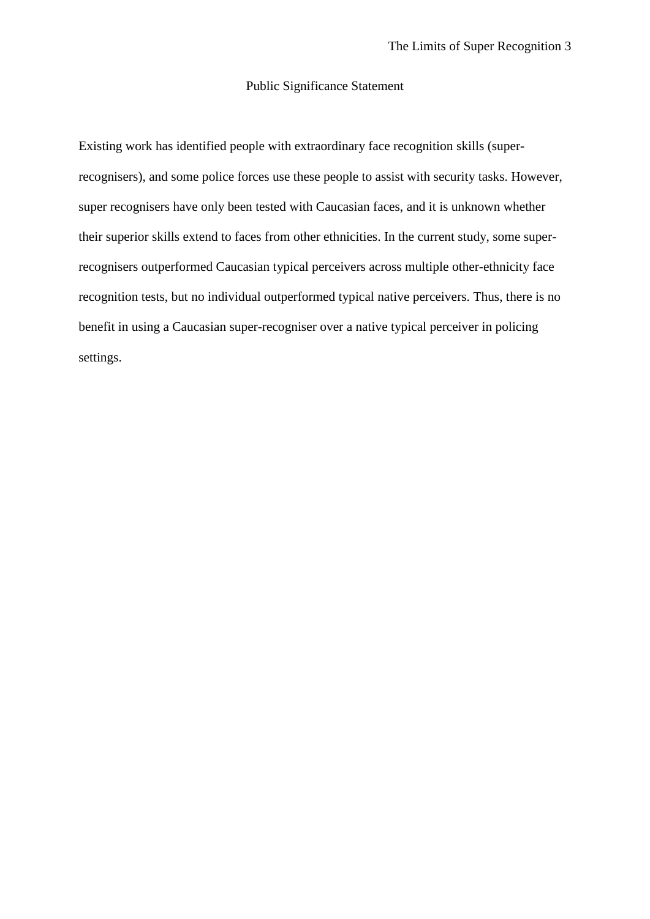# Public Significance Statement

Existing work has identified people with extraordinary face recognition skills (superrecognisers), and some police forces use these people to assist with security tasks. However, super recognisers have only been tested with Caucasian faces, and it is unknown whether their superior skills extend to faces from other ethnicities. In the current study, some superrecognisers outperformed Caucasian typical perceivers across multiple other-ethnicity face recognition tests, but no individual outperformed typical native perceivers. Thus, there is no benefit in using a Caucasian super-recogniser over a native typical perceiver in policing settings.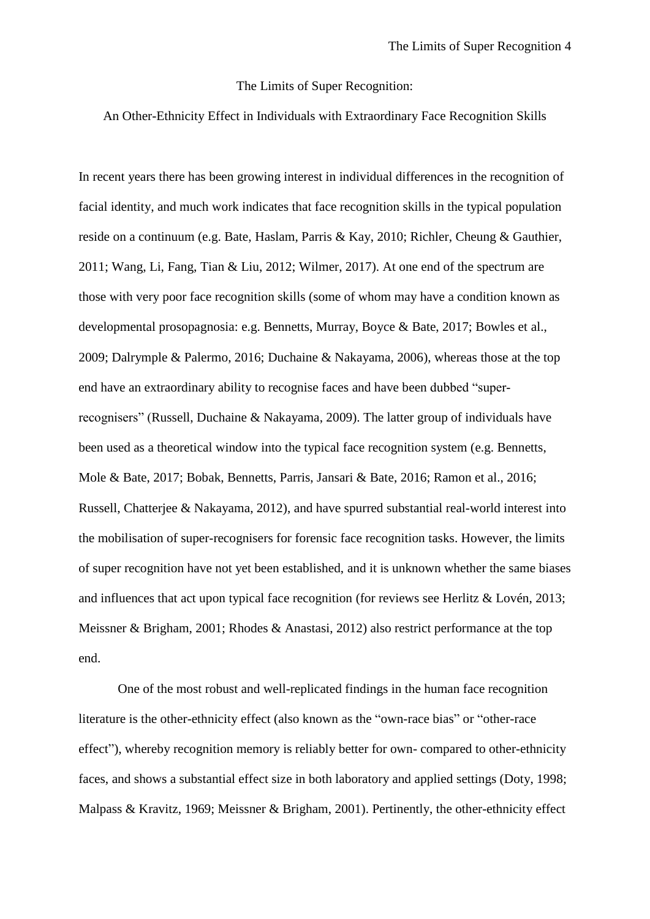#### The Limits of Super Recognition:

# An Other-Ethnicity Effect in Individuals with Extraordinary Face Recognition Skills

In recent years there has been growing interest in individual differences in the recognition of facial identity, and much work indicates that face recognition skills in the typical population reside on a continuum (e.g. Bate, Haslam, Parris & Kay, 2010; Richler, Cheung & Gauthier, 2011; Wang, Li, Fang, Tian & Liu, 2012; Wilmer, 2017). At one end of the spectrum are those with very poor face recognition skills (some of whom may have a condition known as developmental prosopagnosia: e.g. Bennetts, Murray, Boyce & Bate, 2017; Bowles et al., 2009; Dalrymple & Palermo, 2016; Duchaine & Nakayama, 2006), whereas those at the top end have an extraordinary ability to recognise faces and have been dubbed "superrecognisers" (Russell, Duchaine & Nakayama, 2009). The latter group of individuals have been used as a theoretical window into the typical face recognition system (e.g. Bennetts, Mole & Bate, 2017; Bobak, Bennetts, Parris, Jansari & Bate, 2016; Ramon et al., 2016; Russell, Chatterjee & Nakayama, 2012), and have spurred substantial real-world interest into the mobilisation of super-recognisers for forensic face recognition tasks. However, the limits of super recognition have not yet been established, and it is unknown whether the same biases and influences that act upon typical face recognition (for reviews see Herlitz & Lovén, 2013; Meissner & Brigham, 2001; Rhodes & Anastasi, 2012) also restrict performance at the top end.

One of the most robust and well-replicated findings in the human face recognition literature is the other-ethnicity effect (also known as the "own-race bias" or "other-race effect"), whereby recognition memory is reliably better for own- compared to other-ethnicity faces, and shows a substantial effect size in both laboratory and applied settings (Doty, 1998; Malpass & Kravitz, 1969; Meissner & Brigham, 2001). Pertinently, the other-ethnicity effect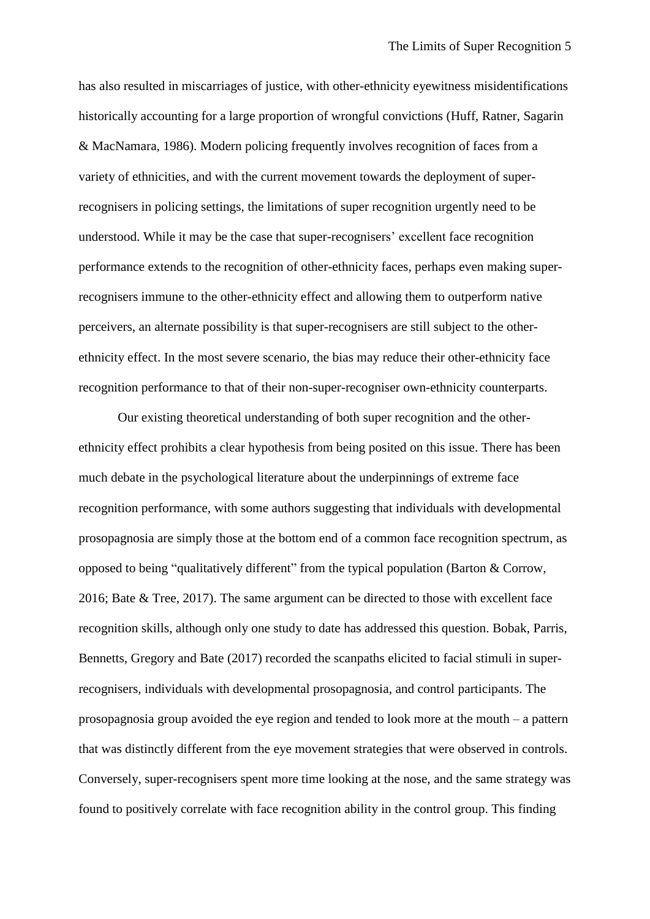has also resulted in miscarriages of justice, with other-ethnicity eyewitness misidentifications historically accounting for a large proportion of wrongful convictions (Huff, Ratner, Sagarin & MacNamara, 1986). Modern policing frequently involves recognition of faces from a variety of ethnicities, and with the current movement towards the deployment of superrecognisers in policing settings, the limitations of super recognition urgently need to be understood. While it may be the case that super-recognisers' excellent face recognition performance extends to the recognition of other-ethnicity faces, perhaps even making superrecognisers immune to the other-ethnicity effect and allowing them to outperform native perceivers, an alternate possibility is that super-recognisers are still subject to the otherethnicity effect. In the most severe scenario, the bias may reduce their other-ethnicity face recognition performance to that of their non-super-recogniser own-ethnicity counterparts.

Our existing theoretical understanding of both super recognition and the otherethnicity effect prohibits a clear hypothesis from being posited on this issue. There has been much debate in the psychological literature about the underpinnings of extreme face recognition performance, with some authors suggesting that individuals with developmental prosopagnosia are simply those at the bottom end of a common face recognition spectrum, as opposed to being "qualitatively different" from the typical population (Barton & Corrow, 2016; Bate & Tree, 2017). The same argument can be directed to those with excellent face recognition skills, although only one study to date has addressed this question. Bobak, Parris, Bennetts, Gregory and Bate (2017) recorded the scanpaths elicited to facial stimuli in superrecognisers, individuals with developmental prosopagnosia, and control participants. The prosopagnosia group avoided the eye region and tended to look more at the mouth – a pattern that was distinctly different from the eye movement strategies that were observed in controls. Conversely, super-recognisers spent more time looking at the nose, and the same strategy was found to positively correlate with face recognition ability in the control group. This finding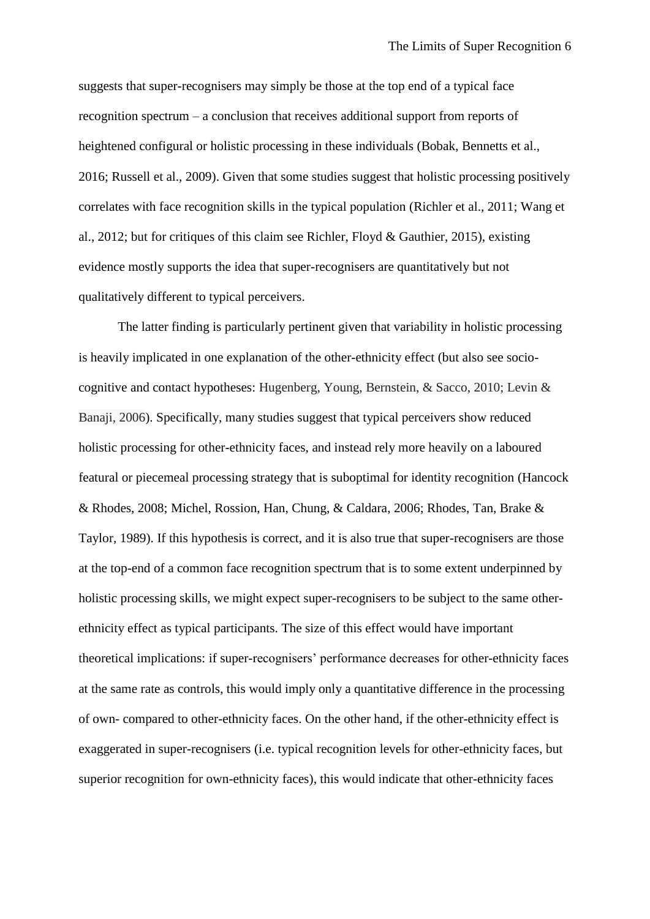suggests that super-recognisers may simply be those at the top end of a typical face recognition spectrum – a conclusion that receives additional support from reports of heightened configural or holistic processing in these individuals (Bobak, Bennetts et al., 2016; Russell et al., 2009). Given that some studies suggest that holistic processing positively correlates with face recognition skills in the typical population (Richler et al., 2011; Wang et al., 2012; but for critiques of this claim see Richler, Floyd & Gauthier, 2015), existing evidence mostly supports the idea that super-recognisers are quantitatively but not qualitatively different to typical perceivers.

The latter finding is particularly pertinent given that variability in holistic processing is heavily implicated in one explanation of the other-ethnicity effect (but also see sociocognitive and contact hypotheses: Hugenberg, Young, Bernstein, & Sacco, 2010; Levin & Banaji, 2006). Specifically, many studies suggest that typical perceivers show reduced holistic processing for other-ethnicity faces, and instead rely more heavily on a laboured featural or piecemeal processing strategy that is suboptimal for identity recognition (Hancock & Rhodes, 2008; Michel, Rossion, Han, Chung, & Caldara, 2006; Rhodes, Tan, Brake & Taylor, 1989). If this hypothesis is correct, and it is also true that super-recognisers are those at the top-end of a common face recognition spectrum that is to some extent underpinned by holistic processing skills, we might expect super-recognisers to be subject to the same otherethnicity effect as typical participants. The size of this effect would have important theoretical implications: if super-recognisers' performance decreases for other-ethnicity faces at the same rate as controls, this would imply only a quantitative difference in the processing of own- compared to other-ethnicity faces. On the other hand, if the other-ethnicity effect is exaggerated in super-recognisers (i.e. typical recognition levels for other-ethnicity faces, but superior recognition for own-ethnicity faces), this would indicate that other-ethnicity faces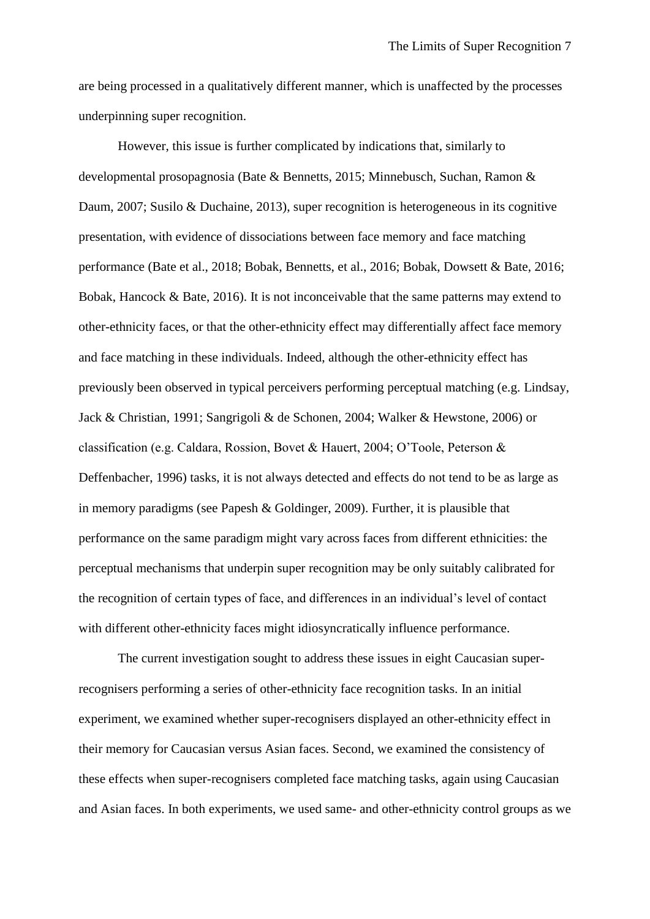are being processed in a qualitatively different manner, which is unaffected by the processes underpinning super recognition.

However, this issue is further complicated by indications that, similarly to developmental prosopagnosia (Bate & Bennetts, 2015; Minnebusch, Suchan, Ramon & Daum, 2007; Susilo & Duchaine, 2013), super recognition is heterogeneous in its cognitive presentation, with evidence of dissociations between face memory and face matching performance (Bate et al., 2018; Bobak, Bennetts, et al., 2016; Bobak, Dowsett & Bate, 2016; Bobak, Hancock & Bate, 2016). It is not inconceivable that the same patterns may extend to other-ethnicity faces, or that the other-ethnicity effect may differentially affect face memory and face matching in these individuals. Indeed, although the other-ethnicity effect has previously been observed in typical perceivers performing perceptual matching (e.g. Lindsay, Jack & Christian, 1991; Sangrigoli & de Schonen, 2004; Walker & Hewstone, 2006) or classification (e.g. Caldara, Rossion, Bovet & Hauert, 2004; O'Toole, Peterson & Deffenbacher, 1996) tasks, it is not always detected and effects do not tend to be as large as in memory paradigms (see Papesh & Goldinger, 2009). Further, it is plausible that performance on the same paradigm might vary across faces from different ethnicities: the perceptual mechanisms that underpin super recognition may be only suitably calibrated for the recognition of certain types of face, and differences in an individual's level of contact with different other-ethnicity faces might idiosyncratically influence performance.

The current investigation sought to address these issues in eight Caucasian superrecognisers performing a series of other-ethnicity face recognition tasks. In an initial experiment, we examined whether super-recognisers displayed an other-ethnicity effect in their memory for Caucasian versus Asian faces. Second, we examined the consistency of these effects when super-recognisers completed face matching tasks, again using Caucasian and Asian faces. In both experiments, we used same- and other-ethnicity control groups as we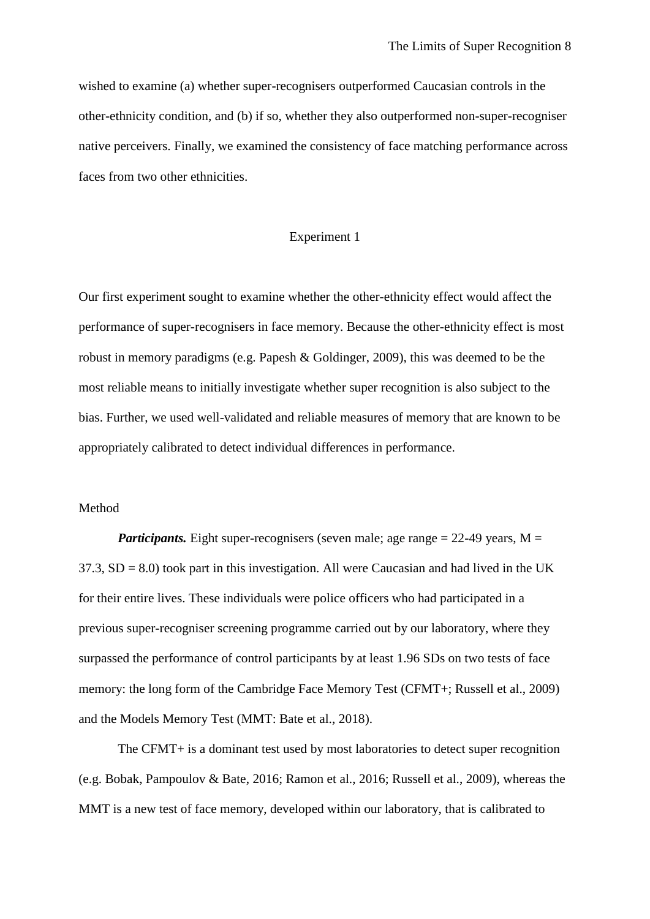wished to examine (a) whether super-recognisers outperformed Caucasian controls in the other-ethnicity condition, and (b) if so, whether they also outperformed non-super-recogniser native perceivers. Finally, we examined the consistency of face matching performance across faces from two other ethnicities.

# Experiment 1

Our first experiment sought to examine whether the other-ethnicity effect would affect the performance of super-recognisers in face memory. Because the other-ethnicity effect is most robust in memory paradigms (e.g. Papesh & Goldinger, 2009), this was deemed to be the most reliable means to initially investigate whether super recognition is also subject to the bias. Further, we used well-validated and reliable measures of memory that are known to be appropriately calibrated to detect individual differences in performance.

# Method

*Participants.* Eight super-recognisers (seven male; age range  $= 22-49$  years, M  $=$  $37.3$ ,  $SD = 8.0$ ) took part in this investigation. All were Caucasian and had lived in the UK for their entire lives. These individuals were police officers who had participated in a previous super-recogniser screening programme carried out by our laboratory, where they surpassed the performance of control participants by at least 1.96 SDs on two tests of face memory: the long form of the Cambridge Face Memory Test (CFMT+; Russell et al., 2009) and the Models Memory Test (MMT: Bate et al., 2018).

The CFMT+ is a dominant test used by most laboratories to detect super recognition (e.g. Bobak, Pampoulov & Bate, 2016; Ramon et al., 2016; Russell et al., 2009), whereas the MMT is a new test of face memory, developed within our laboratory, that is calibrated to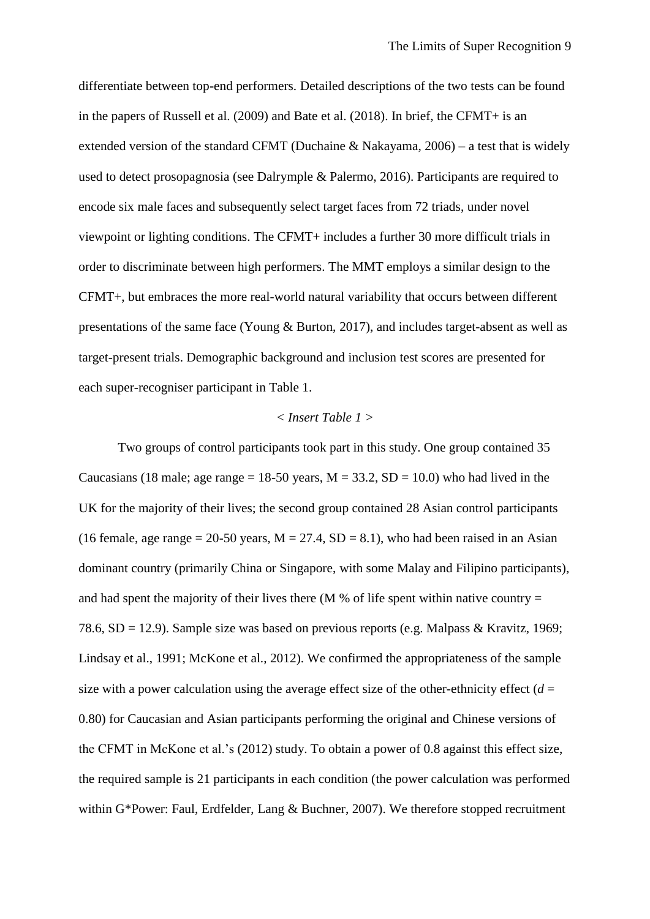differentiate between top-end performers. Detailed descriptions of the two tests can be found in the papers of Russell et al. (2009) and Bate et al. (2018). In brief, the CFMT+ is an extended version of the standard CFMT (Duchaine & Nakayama, 2006) – a test that is widely used to detect prosopagnosia (see Dalrymple & Palermo, 2016). Participants are required to encode six male faces and subsequently select target faces from 72 triads, under novel viewpoint or lighting conditions. The CFMT+ includes a further 30 more difficult trials in order to discriminate between high performers. The MMT employs a similar design to the CFMT+, but embraces the more real-world natural variability that occurs between different presentations of the same face (Young & Burton, 2017), and includes target-absent as well as target-present trials. Demographic background and inclusion test scores are presented for each super-recogniser participant in Table 1.

#### *< Insert Table 1 >*

Two groups of control participants took part in this study. One group contained 35 Caucasians (18 male; age range = 18-50 years,  $M = 33.2$ ,  $SD = 10.0$ ) who had lived in the UK for the majority of their lives; the second group contained 28 Asian control participants (16 female, age range  $= 20-50$  years,  $M = 27.4$ ,  $SD = 8.1$ ), who had been raised in an Asian dominant country (primarily China or Singapore, with some Malay and Filipino participants), and had spent the majority of their lives there (M % of life spent within native country  $=$ 78.6, SD = 12.9). Sample size was based on previous reports (e.g. Malpass & Kravitz, 1969; Lindsay et al., 1991; McKone et al., 2012). We confirmed the appropriateness of the sample size with a power calculation using the average effect size of the other-ethnicity effect  $(d =$ 0.80) for Caucasian and Asian participants performing the original and Chinese versions of the CFMT in McKone et al.'s (2012) study. To obtain a power of 0.8 against this effect size, the required sample is 21 participants in each condition (the power calculation was performed within G\*Power: Faul, Erdfelder, Lang & Buchner, 2007). We therefore stopped recruitment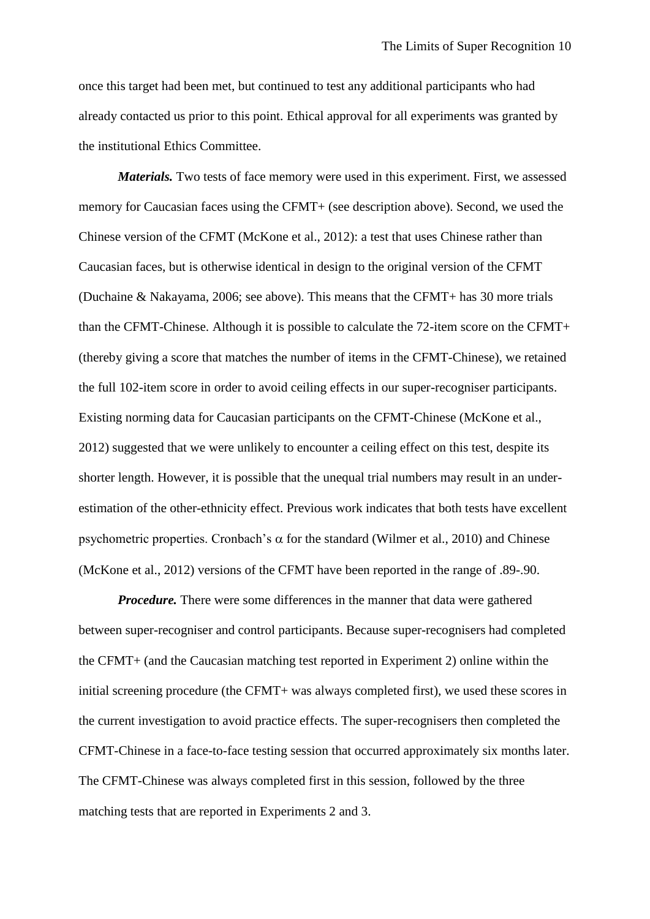once this target had been met, but continued to test any additional participants who had already contacted us prior to this point. Ethical approval for all experiments was granted by the institutional Ethics Committee.

*Materials.* Two tests of face memory were used in this experiment. First, we assessed memory for Caucasian faces using the CFMT+ (see description above). Second, we used the Chinese version of the CFMT (McKone et al., 2012): a test that uses Chinese rather than Caucasian faces, but is otherwise identical in design to the original version of the CFMT (Duchaine & Nakayama, 2006; see above). This means that the CFMT+ has 30 more trials than the CFMT-Chinese. Although it is possible to calculate the 72-item score on the CFMT+ (thereby giving a score that matches the number of items in the CFMT-Chinese), we retained the full 102-item score in order to avoid ceiling effects in our super-recogniser participants. Existing norming data for Caucasian participants on the CFMT-Chinese (McKone et al., 2012) suggested that we were unlikely to encounter a ceiling effect on this test, despite its shorter length. However, it is possible that the unequal trial numbers may result in an underestimation of the other-ethnicity effect. Previous work indicates that both tests have excellent psychometric properties. Cronbach's  $\alpha$  for the standard (Wilmer et al., 2010) and Chinese (McKone et al., 2012) versions of the CFMT have been reported in the range of .89-.90.

*Procedure.* There were some differences in the manner that data were gathered between super-recogniser and control participants. Because super-recognisers had completed the CFMT+ (and the Caucasian matching test reported in Experiment 2) online within the initial screening procedure (the CFMT+ was always completed first), we used these scores in the current investigation to avoid practice effects. The super-recognisers then completed the CFMT-Chinese in a face-to-face testing session that occurred approximately six months later. The CFMT-Chinese was always completed first in this session, followed by the three matching tests that are reported in Experiments 2 and 3.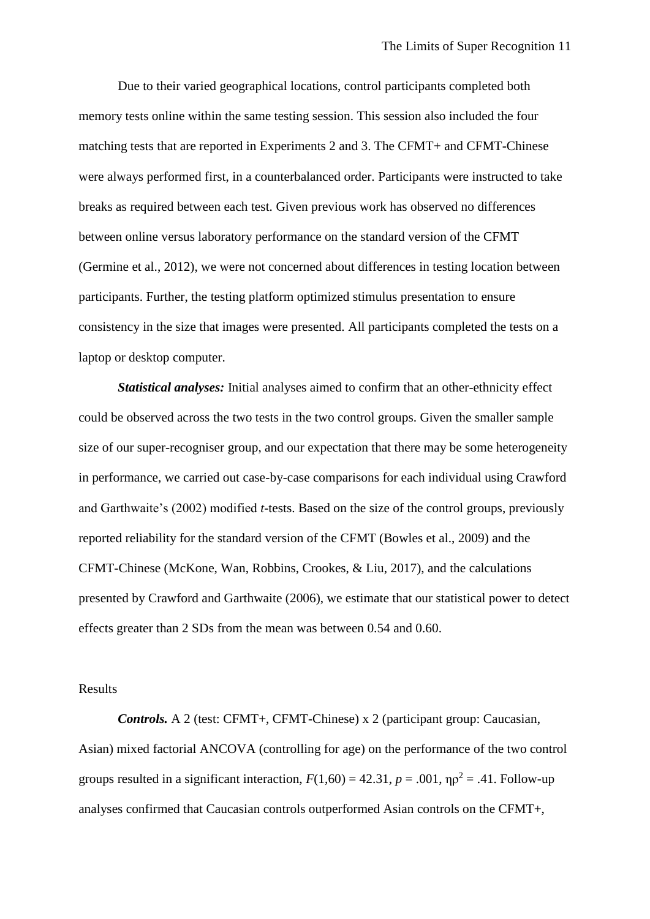Due to their varied geographical locations, control participants completed both memory tests online within the same testing session. This session also included the four matching tests that are reported in Experiments 2 and 3. The CFMT+ and CFMT-Chinese were always performed first, in a counterbalanced order. Participants were instructed to take breaks as required between each test. Given previous work has observed no differences between online versus laboratory performance on the standard version of the CFMT (Germine et al., 2012), we were not concerned about differences in testing location between participants. Further, the testing platform optimized stimulus presentation to ensure consistency in the size that images were presented. All participants completed the tests on a laptop or desktop computer.

*Statistical analyses:* Initial analyses aimed to confirm that an other-ethnicity effect could be observed across the two tests in the two control groups. Given the smaller sample size of our super-recogniser group, and our expectation that there may be some heterogeneity in performance, we carried out case-by-case comparisons for each individual using Crawford and Garthwaite's (2002) modified *t*-tests. Based on the size of the control groups, previously reported reliability for the standard version of the CFMT (Bowles et al., 2009) and the CFMT-Chinese (McKone, Wan, Robbins, Crookes, & Liu, 2017), and the calculations presented by Crawford and Garthwaite (2006), we estimate that our statistical power to detect effects greater than 2 SDs from the mean was between 0.54 and 0.60.

#### Results

*Controls.* A 2 (test: CFMT+, CFMT-Chinese) x 2 (participant group: Caucasian, Asian) mixed factorial ANCOVA (controlling for age) on the performance of the two control groups resulted in a significant interaction,  $F(1,60) = 42.31$ ,  $p = .001$ ,  $\eta \rho^2 = .41$ . Follow-up analyses confirmed that Caucasian controls outperformed Asian controls on the CFMT+,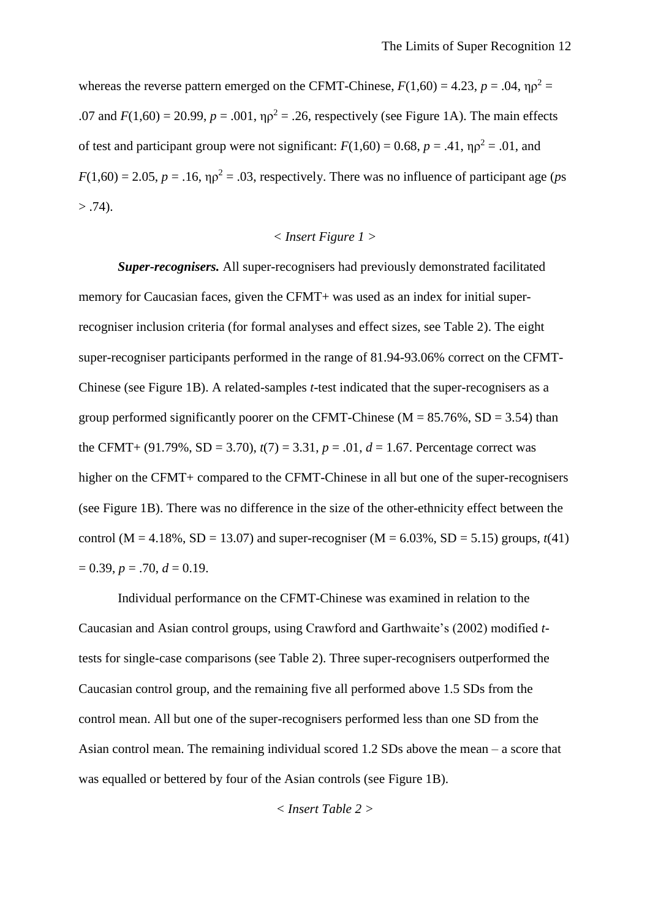whereas the reverse pattern emerged on the CFMT-Chinese,  $F(1,60) = 4.23$ ,  $p = .04$ ,  $\eta \rho^2 =$ .07 and  $F(1,60) = 20.99$ ,  $p = .001$ ,  $p_0^2 = .26$ , respectively (see Figure 1A). The main effects of test and participant group were not significant:  $F(1,60) = 0.68$ ,  $p = .41$ ,  $\eta \rho^2 = .01$ , and  $F(1,60) = 2.05$ ,  $p = .16$ ,  $p^2 = .03$ , respectively. There was no influence of participant age (*ps*)  $> .74$ ).

# *< Insert Figure 1 >*

*Super-recognisers.* All super-recognisers had previously demonstrated facilitated memory for Caucasian faces, given the CFMT+ was used as an index for initial superrecogniser inclusion criteria (for formal analyses and effect sizes, see Table 2). The eight super-recogniser participants performed in the range of 81.94-93.06% correct on the CFMT-Chinese (see Figure 1B). A related-samples *t*-test indicated that the super-recognisers as a group performed significantly poorer on the CFMT-Chinese ( $M = 85.76\%$ , SD = 3.54) than the CFMT+ (91.79%, SD = 3.70),  $t(7) = 3.31$ ,  $p = .01$ ,  $d = 1.67$ . Percentage correct was higher on the CFMT+ compared to the CFMT-Chinese in all but one of the super-recognisers (see Figure 1B). There was no difference in the size of the other-ethnicity effect between the control (M = 4.18%, SD = 13.07) and super-recogniser (M =  $6.03\%$ , SD =  $5.15$ ) groups,  $t(41)$  $= 0.39, p = .70, d = 0.19.$ 

Individual performance on the CFMT-Chinese was examined in relation to the Caucasian and Asian control groups, using Crawford and Garthwaite's (2002) modified *t*tests for single-case comparisons (see Table 2). Three super-recognisers outperformed the Caucasian control group, and the remaining five all performed above 1.5 SDs from the control mean. All but one of the super-recognisers performed less than one SD from the Asian control mean. The remaining individual scored 1.2 SDs above the mean – a score that was equalled or bettered by four of the Asian controls (see Figure 1B).

*< Insert Table 2 >*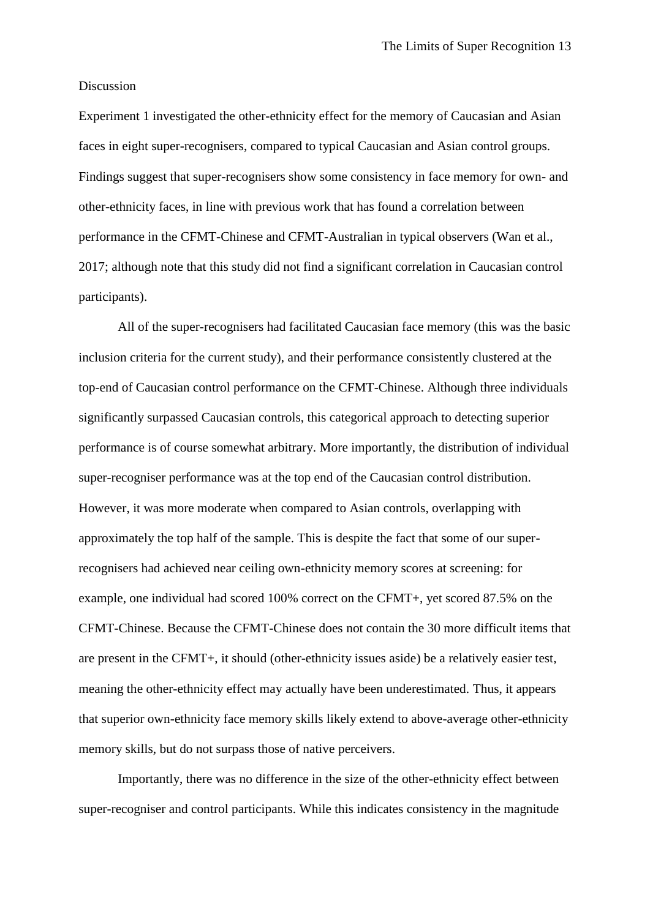#### Discussion

Experiment 1 investigated the other-ethnicity effect for the memory of Caucasian and Asian faces in eight super-recognisers, compared to typical Caucasian and Asian control groups. Findings suggest that super-recognisers show some consistency in face memory for own- and other-ethnicity faces, in line with previous work that has found a correlation between performance in the CFMT-Chinese and CFMT-Australian in typical observers (Wan et al., 2017; although note that this study did not find a significant correlation in Caucasian control participants).

All of the super-recognisers had facilitated Caucasian face memory (this was the basic inclusion criteria for the current study), and their performance consistently clustered at the top-end of Caucasian control performance on the CFMT-Chinese. Although three individuals significantly surpassed Caucasian controls, this categorical approach to detecting superior performance is of course somewhat arbitrary. More importantly, the distribution of individual super-recogniser performance was at the top end of the Caucasian control distribution. However, it was more moderate when compared to Asian controls, overlapping with approximately the top half of the sample. This is despite the fact that some of our superrecognisers had achieved near ceiling own-ethnicity memory scores at screening: for example, one individual had scored 100% correct on the CFMT+, yet scored 87.5% on the CFMT-Chinese. Because the CFMT-Chinese does not contain the 30 more difficult items that are present in the CFMT+, it should (other-ethnicity issues aside) be a relatively easier test, meaning the other-ethnicity effect may actually have been underestimated. Thus, it appears that superior own-ethnicity face memory skills likely extend to above-average other-ethnicity memory skills, but do not surpass those of native perceivers.

Importantly, there was no difference in the size of the other-ethnicity effect between super-recogniser and control participants. While this indicates consistency in the magnitude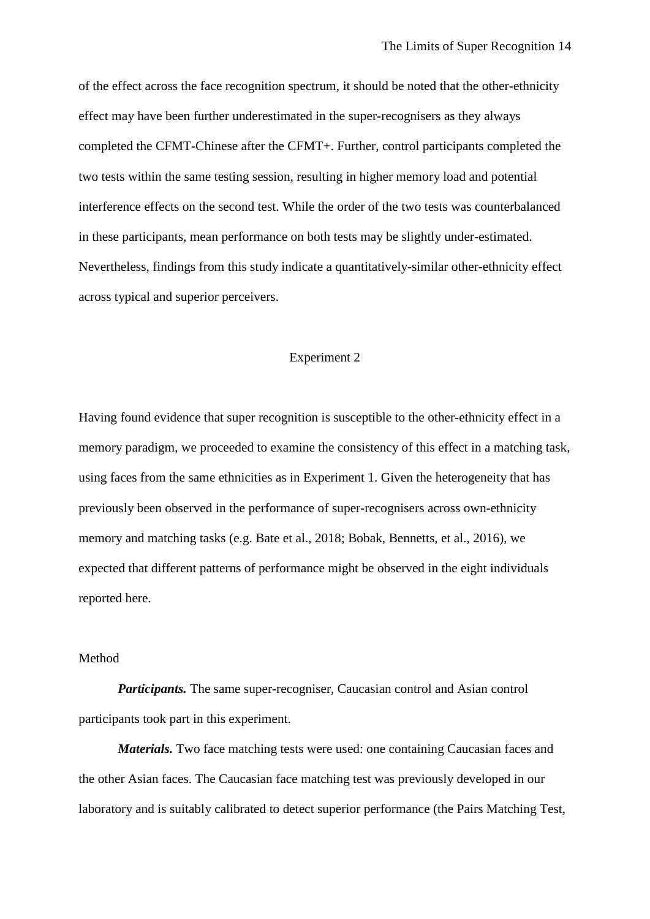of the effect across the face recognition spectrum, it should be noted that the other-ethnicity effect may have been further underestimated in the super-recognisers as they always completed the CFMT-Chinese after the CFMT+. Further, control participants completed the two tests within the same testing session, resulting in higher memory load and potential interference effects on the second test. While the order of the two tests was counterbalanced in these participants, mean performance on both tests may be slightly under-estimated. Nevertheless, findings from this study indicate a quantitatively-similar other-ethnicity effect across typical and superior perceivers.

# Experiment 2

Having found evidence that super recognition is susceptible to the other-ethnicity effect in a memory paradigm, we proceeded to examine the consistency of this effect in a matching task, using faces from the same ethnicities as in Experiment 1. Given the heterogeneity that has previously been observed in the performance of super-recognisers across own-ethnicity memory and matching tasks (e.g. Bate et al., 2018; Bobak, Bennetts, et al., 2016), we expected that different patterns of performance might be observed in the eight individuals reported here.

#### Method

*Participants.* The same super-recogniser, Caucasian control and Asian control participants took part in this experiment.

*Materials.* Two face matching tests were used: one containing Caucasian faces and the other Asian faces. The Caucasian face matching test was previously developed in our laboratory and is suitably calibrated to detect superior performance (the Pairs Matching Test,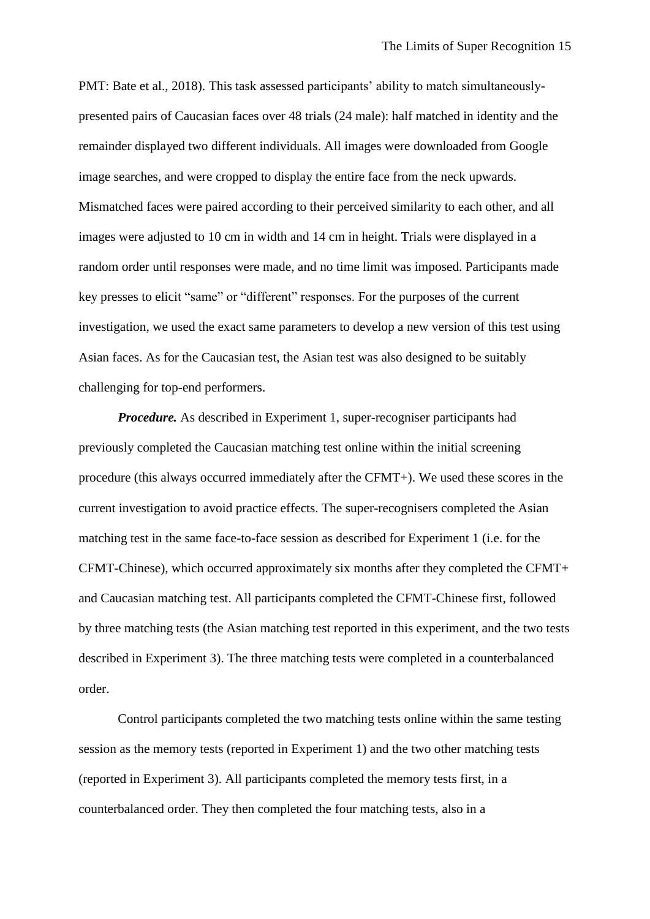PMT: Bate et al., 2018). This task assessed participants' ability to match simultaneouslypresented pairs of Caucasian faces over 48 trials (24 male): half matched in identity and the remainder displayed two different individuals. All images were downloaded from Google image searches, and were cropped to display the entire face from the neck upwards. Mismatched faces were paired according to their perceived similarity to each other, and all images were adjusted to 10 cm in width and 14 cm in height. Trials were displayed in a random order until responses were made, and no time limit was imposed. Participants made key presses to elicit "same" or "different" responses. For the purposes of the current investigation, we used the exact same parameters to develop a new version of this test using Asian faces. As for the Caucasian test, the Asian test was also designed to be suitably challenging for top-end performers.

*Procedure.* As described in Experiment 1, super-recogniser participants had previously completed the Caucasian matching test online within the initial screening procedure (this always occurred immediately after the CFMT+). We used these scores in the current investigation to avoid practice effects. The super-recognisers completed the Asian matching test in the same face-to-face session as described for Experiment 1 (i.e. for the CFMT-Chinese), which occurred approximately six months after they completed the CFMT+ and Caucasian matching test. All participants completed the CFMT-Chinese first, followed by three matching tests (the Asian matching test reported in this experiment, and the two tests described in Experiment 3). The three matching tests were completed in a counterbalanced order.

Control participants completed the two matching tests online within the same testing session as the memory tests (reported in Experiment 1) and the two other matching tests (reported in Experiment 3). All participants completed the memory tests first, in a counterbalanced order. They then completed the four matching tests, also in a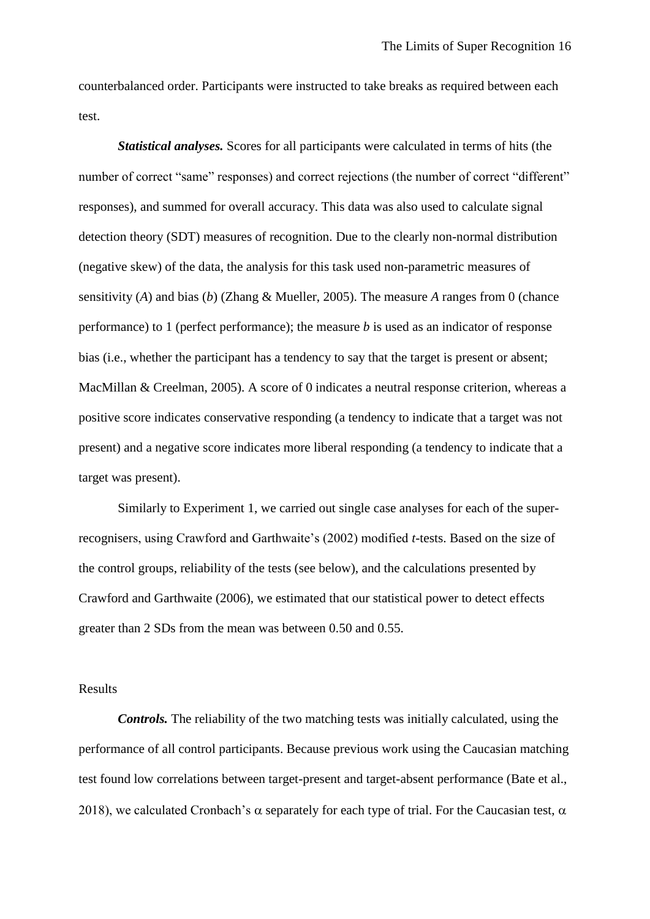counterbalanced order. Participants were instructed to take breaks as required between each test.

*Statistical analyses.* Scores for all participants were calculated in terms of hits (the number of correct "same" responses) and correct rejections (the number of correct "different" responses), and summed for overall accuracy. This data was also used to calculate signal detection theory (SDT) measures of recognition. Due to the clearly non-normal distribution (negative skew) of the data, the analysis for this task used non-parametric measures of sensitivity (*A*) and bias (*b*) (Zhang & Mueller, 2005). The measure *A* ranges from 0 (chance performance) to 1 (perfect performance); the measure *b* is used as an indicator of response bias (i.e., whether the participant has a tendency to say that the target is present or absent; MacMillan & Creelman, 2005). A score of 0 indicates a neutral response criterion, whereas a positive score indicates conservative responding (a tendency to indicate that a target was not present) and a negative score indicates more liberal responding (a tendency to indicate that a target was present).

Similarly to Experiment 1, we carried out single case analyses for each of the superrecognisers, using Crawford and Garthwaite's (2002) modified *t*-tests. Based on the size of the control groups, reliability of the tests (see below), and the calculations presented by Crawford and Garthwaite (2006), we estimated that our statistical power to detect effects greater than 2 SDs from the mean was between 0.50 and 0.55.

# Results

*Controls.* The reliability of the two matching tests was initially calculated, using the performance of all control participants. Because previous work using the Caucasian matching test found low correlations between target-present and target-absent performance (Bate et al., 2018), we calculated Cronbach's  $\alpha$  separately for each type of trial. For the Caucasian test,  $\alpha$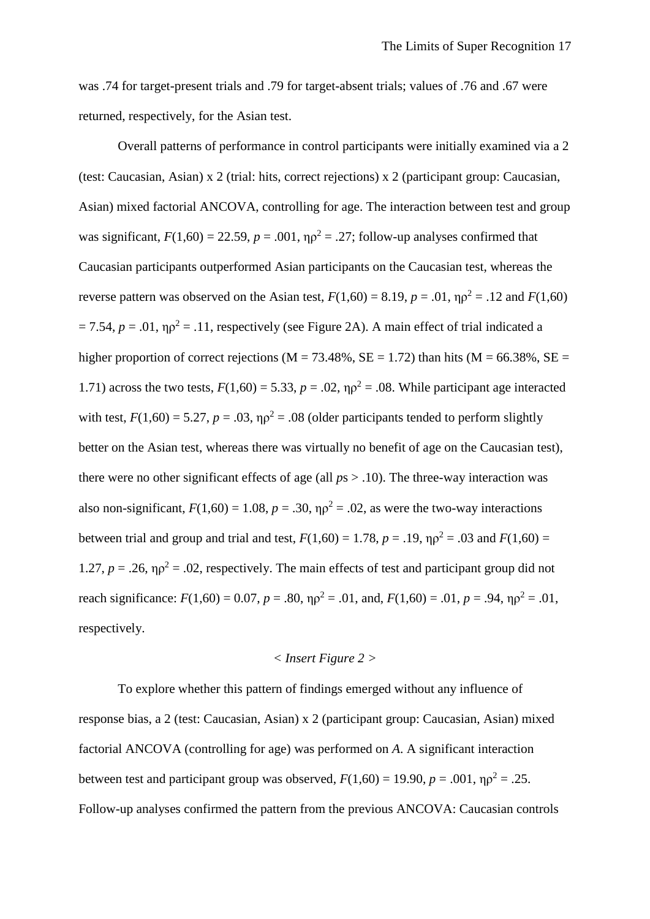was .74 for target-present trials and .79 for target-absent trials; values of .76 and .67 were returned, respectively, for the Asian test.

Overall patterns of performance in control participants were initially examined via a 2 (test: Caucasian, Asian) x 2 (trial: hits, correct rejections) x 2 (participant group: Caucasian, Asian) mixed factorial ANCOVA, controlling for age. The interaction between test and group was significant,  $F(1,60) = 22.59$ ,  $p = .001$ ,  $\eta p^2 = .27$ ; follow-up analyses confirmed that Caucasian participants outperformed Asian participants on the Caucasian test, whereas the reverse pattern was observed on the Asian test,  $F(1,60) = 8.19$ ,  $p = .01$ ,  $\eta \rho^2 = .12$  and  $F(1,60)$  $= 7.54$ ,  $p = .01$ ,  $\eta \rho^2 = .11$ , respectively (see Figure 2A). A main effect of trial indicated a higher proportion of correct rejections ( $M = 73.48\%$ ,  $SE = 1.72$ ) than hits ( $M = 66.38\%$ ,  $SE =$ 1.71) across the two tests,  $F(1,60) = 5.33$ ,  $p = .02$ ,  $\eta \rho^2 = .08$ . While participant age interacted with test,  $F(1,60) = 5.27$ ,  $p = .03$ ,  $\eta \rho^2 = .08$  (older participants tended to perform slightly better on the Asian test, whereas there was virtually no benefit of age on the Caucasian test), there were no other significant effects of age (all *p*s > .10). The three-way interaction was also non-significant,  $F(1,60) = 1.08$ ,  $p = .30$ ,  $p\sigma^2 = .02$ , as were the two-way interactions between trial and group and trial and test,  $F(1,60) = 1.78$ ,  $p = .19$ ,  $np^2 = .03$  and  $F(1,60) =$ 1.27,  $p = 0.26$ ,  $p^2 = 0.02$ , respectively. The main effects of test and participant group did not reach significance:  $F(1,60) = 0.07$ ,  $p = .80$ ,  $\eta \rho^2 = .01$ , and,  $F(1,60) = .01$ ,  $p = .94$ ,  $\eta \rho^2 = .01$ , respectively.

#### *< Insert Figure 2 >*

To explore whether this pattern of findings emerged without any influence of response bias, a 2 (test: Caucasian, Asian) x 2 (participant group: Caucasian, Asian) mixed factorial ANCOVA (controlling for age) was performed on *A*. A significant interaction between test and participant group was observed,  $F(1,60) = 19.90$ ,  $p = .001$ ,  $\eta \rho^2 = .25$ . Follow-up analyses confirmed the pattern from the previous ANCOVA: Caucasian controls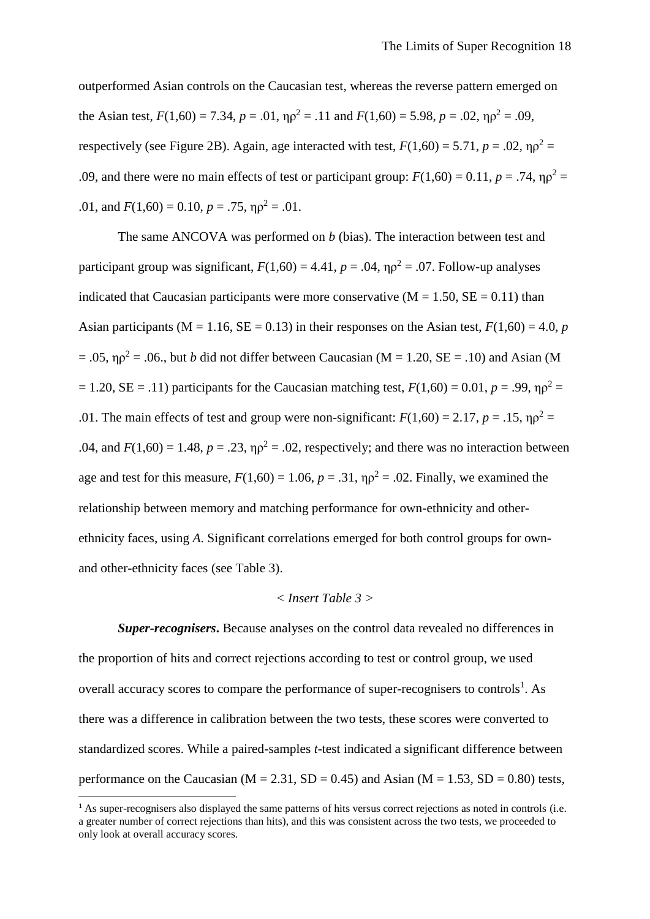outperformed Asian controls on the Caucasian test, whereas the reverse pattern emerged on the Asian test,  $F(1,60) = 7.34$ ,  $p = .01$ ,  $p_0^2 = .11$  and  $F(1,60) = 5.98$ ,  $p = .02$ ,  $p_0^2 = .09$ . respectively (see Figure 2B). Again, age interacted with test,  $F(1,60) = 5.71$ ,  $p = .02$ ,  $\eta \rho^2 =$ .09, and there were no main effects of test or participant group:  $F(1,60) = 0.11$ ,  $p = .74$ ,  $p^2 =$ .01, and  $F(1,60) = 0.10$ ,  $p = .75$ ,  $\eta \rho^2 = .01$ .

The same ANCOVA was performed on *b* (bias). The interaction between test and participant group was significant,  $F(1,60) = 4.41$ ,  $p = .04$ ,  $\eta \rho^2 = .07$ . Follow-up analyses indicated that Caucasian participants were more conservative  $(M = 1.50, SE = 0.11)$  than Asian participants ( $M = 1.16$ ,  $SE = 0.13$ ) in their responses on the Asian test,  $F(1,60) = 4.0$ , *p*  $= .05$ ,  $\eta \rho^2 = .06$ ., but *b* did not differ between Caucasian (M = 1.20, SE = .10) and Asian (M  $= 1.20$ , SE = .11) participants for the Caucasian matching test,  $F(1,60) = 0.01$ ,  $p = .99$ ,  $\eta \rho^2 =$ .01. The main effects of test and group were non-significant:  $F(1,60) = 2.17$ ,  $p = .15$ ,  $np^2 =$ .04, and  $F(1,60) = 1.48$ ,  $p = .23$ ,  $\eta \rho^2 = .02$ , respectively; and there was no interaction between age and test for this measure,  $F(1,60) = 1.06$ ,  $p = .31$ ,  $\eta \rho^2 = .02$ . Finally, we examined the relationship between memory and matching performance for own-ethnicity and otherethnicity faces, using *A*. Significant correlations emerged for both control groups for ownand other-ethnicity faces (see Table 3).

### *< Insert Table 3 >*

*Super-recognisers***.** Because analyses on the control data revealed no differences in the proportion of hits and correct rejections according to test or control group, we used overall accuracy scores to compare the performance of super-recognisers to controls<sup>1</sup>. As there was a difference in calibration between the two tests, these scores were converted to standardized scores. While a paired-samples *t*-test indicated a significant difference between performance on the Caucasian ( $M = 2.31$ ,  $SD = 0.45$ ) and Asian ( $M = 1.53$ ,  $SD = 0.80$ ) tests,

**.** 

<sup>&</sup>lt;sup>1</sup> As super-recognisers also displayed the same patterns of hits versus correct rejections as noted in controls (i.e. a greater number of correct rejections than hits), and this was consistent across the two tests, we proceeded to only look at overall accuracy scores.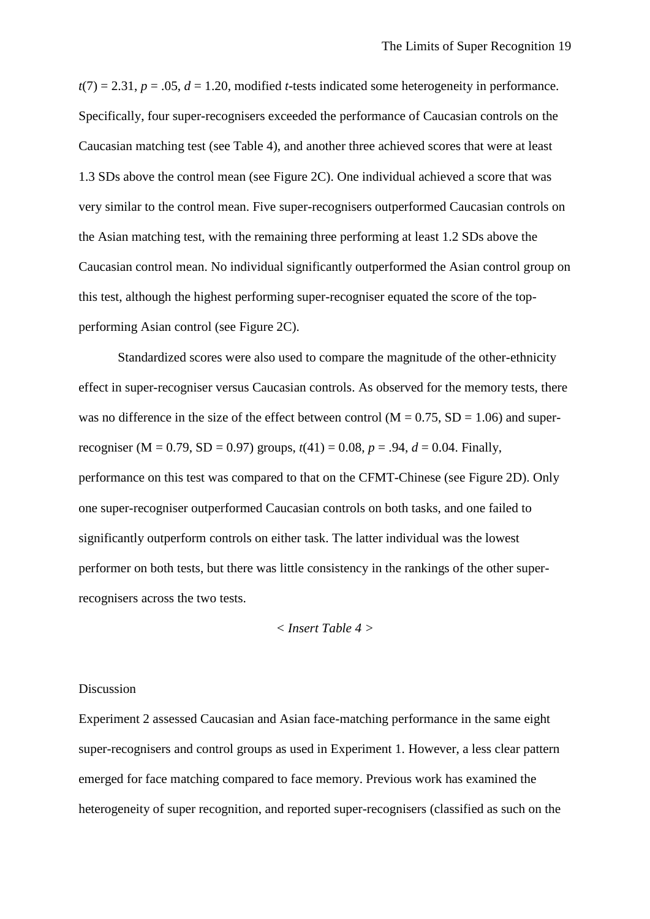$t(7) = 2.31$ ,  $p = .05$ ,  $d = 1.20$ , modified *t*-tests indicated some heterogeneity in performance. Specifically, four super-recognisers exceeded the performance of Caucasian controls on the Caucasian matching test (see Table 4), and another three achieved scores that were at least 1.3 SDs above the control mean (see Figure 2C). One individual achieved a score that was very similar to the control mean. Five super-recognisers outperformed Caucasian controls on the Asian matching test, with the remaining three performing at least 1.2 SDs above the Caucasian control mean. No individual significantly outperformed the Asian control group on this test, although the highest performing super-recogniser equated the score of the topperforming Asian control (see Figure 2C).

Standardized scores were also used to compare the magnitude of the other-ethnicity effect in super-recogniser versus Caucasian controls. As observed for the memory tests, there was no difference in the size of the effect between control ( $M = 0.75$ ,  $SD = 1.06$ ) and superrecogniser (M = 0.79, SD = 0.97) groups,  $t(41) = 0.08$ ,  $p = .94$ ,  $d = 0.04$ . Finally, performance on this test was compared to that on the CFMT-Chinese (see Figure 2D). Only one super-recogniser outperformed Caucasian controls on both tasks, and one failed to significantly outperform controls on either task. The latter individual was the lowest performer on both tests, but there was little consistency in the rankings of the other superrecognisers across the two tests.

# *< Insert Table 4 >*

#### Discussion

Experiment 2 assessed Caucasian and Asian face-matching performance in the same eight super-recognisers and control groups as used in Experiment 1. However, a less clear pattern emerged for face matching compared to face memory. Previous work has examined the heterogeneity of super recognition, and reported super-recognisers (classified as such on the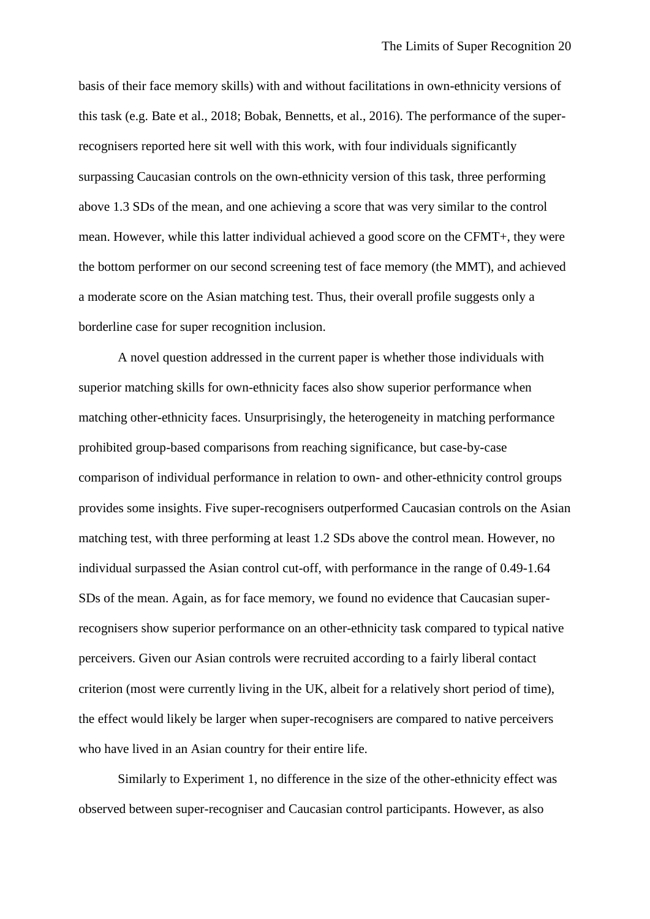basis of their face memory skills) with and without facilitations in own-ethnicity versions of this task (e.g. Bate et al., 2018; Bobak, Bennetts, et al., 2016). The performance of the superrecognisers reported here sit well with this work, with four individuals significantly surpassing Caucasian controls on the own-ethnicity version of this task, three performing above 1.3 SDs of the mean, and one achieving a score that was very similar to the control mean. However, while this latter individual achieved a good score on the CFMT+, they were the bottom performer on our second screening test of face memory (the MMT), and achieved a moderate score on the Asian matching test. Thus, their overall profile suggests only a borderline case for super recognition inclusion.

A novel question addressed in the current paper is whether those individuals with superior matching skills for own-ethnicity faces also show superior performance when matching other-ethnicity faces. Unsurprisingly, the heterogeneity in matching performance prohibited group-based comparisons from reaching significance, but case-by-case comparison of individual performance in relation to own- and other-ethnicity control groups provides some insights. Five super-recognisers outperformed Caucasian controls on the Asian matching test, with three performing at least 1.2 SDs above the control mean. However, no individual surpassed the Asian control cut-off, with performance in the range of 0.49-1.64 SDs of the mean. Again, as for face memory, we found no evidence that Caucasian superrecognisers show superior performance on an other-ethnicity task compared to typical native perceivers. Given our Asian controls were recruited according to a fairly liberal contact criterion (most were currently living in the UK, albeit for a relatively short period of time), the effect would likely be larger when super-recognisers are compared to native perceivers who have lived in an Asian country for their entire life.

Similarly to Experiment 1, no difference in the size of the other-ethnicity effect was observed between super-recogniser and Caucasian control participants. However, as also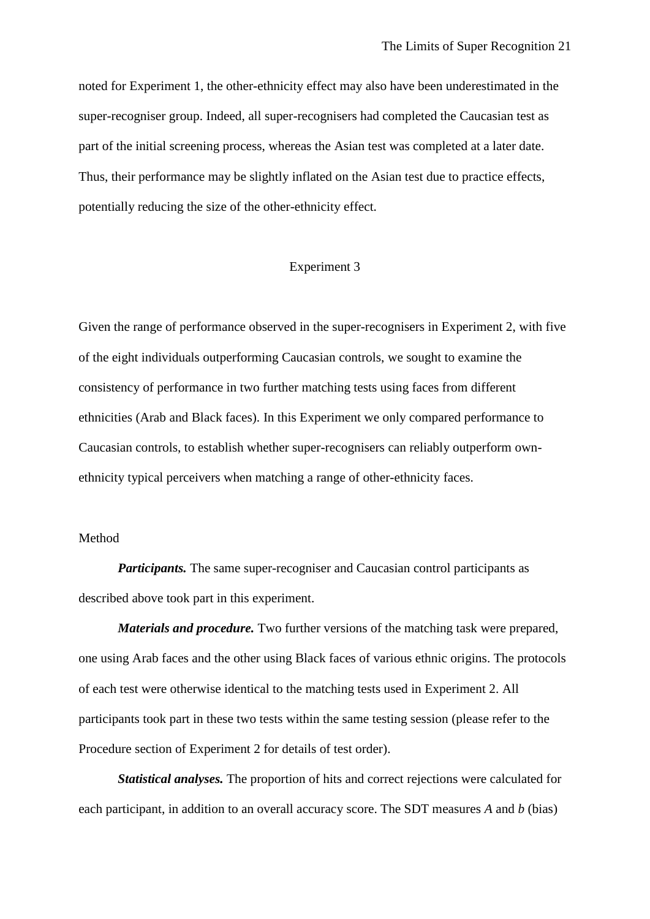noted for Experiment 1, the other-ethnicity effect may also have been underestimated in the super-recogniser group. Indeed, all super-recognisers had completed the Caucasian test as part of the initial screening process, whereas the Asian test was completed at a later date. Thus, their performance may be slightly inflated on the Asian test due to practice effects, potentially reducing the size of the other-ethnicity effect.

#### Experiment 3

Given the range of performance observed in the super-recognisers in Experiment 2, with five of the eight individuals outperforming Caucasian controls, we sought to examine the consistency of performance in two further matching tests using faces from different ethnicities (Arab and Black faces). In this Experiment we only compared performance to Caucasian controls, to establish whether super-recognisers can reliably outperform ownethnicity typical perceivers when matching a range of other-ethnicity faces.

## Method

*Participants*. The same super-recogniser and Caucasian control participants as described above took part in this experiment.

*Materials and procedure.* Two further versions of the matching task were prepared, one using Arab faces and the other using Black faces of various ethnic origins. The protocols of each test were otherwise identical to the matching tests used in Experiment 2. All participants took part in these two tests within the same testing session (please refer to the Procedure section of Experiment 2 for details of test order).

*Statistical analyses.* The proportion of hits and correct rejections were calculated for each participant, in addition to an overall accuracy score. The SDT measures *A* and *b* (bias)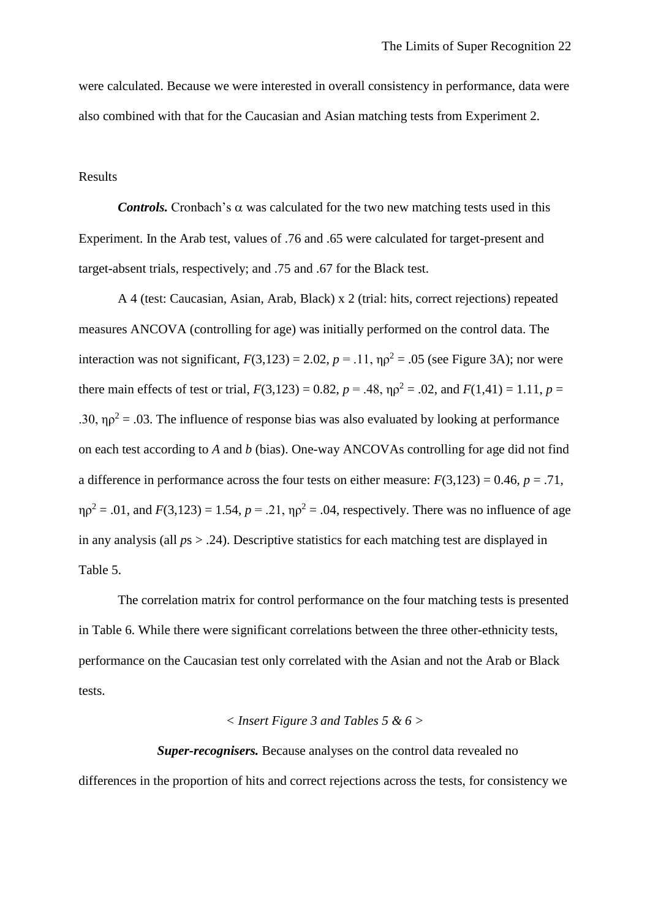were calculated. Because we were interested in overall consistency in performance, data were also combined with that for the Caucasian and Asian matching tests from Experiment 2.

# Results

*Controls.* Cronbach's  $\alpha$  was calculated for the two new matching tests used in this Experiment. In the Arab test, values of .76 and .65 were calculated for target-present and target-absent trials, respectively; and .75 and .67 for the Black test.

A 4 (test: Caucasian, Asian, Arab, Black) x 2 (trial: hits, correct rejections) repeated measures ANCOVA (controlling for age) was initially performed on the control data. The interaction was not significant,  $F(3,123) = 2.02$ ,  $p = .11$ ,  $\eta \rho^2 = .05$  (see Figure 3A); nor were there main effects of test or trial,  $F(3,123) = 0.82$ ,  $p = .48$ ,  $p^2 = .02$ , and  $F(1,41) = 1.11$ ,  $p =$ .30,  $\eta \rho^2 = 0.03$ . The influence of response bias was also evaluated by looking at performance on each test according to *A* and *b* (bias). One-way ANCOVAs controlling for age did not find a difference in performance across the four tests on either measure:  $F(3,123) = 0.46$ ,  $p = .71$ ,  $\eta \rho^2 = .01$ , and  $F(3,123) = 1.54$ ,  $p = .21$ ,  $\eta \rho^2 = .04$ , respectively. There was no influence of age in any analysis (all *p*s > .24). Descriptive statistics for each matching test are displayed in Table 5.

The correlation matrix for control performance on the four matching tests is presented in Table 6. While there were significant correlations between the three other-ethnicity tests, performance on the Caucasian test only correlated with the Asian and not the Arab or Black tests.

#### *< Insert Figure 3 and Tables 5 & 6 >*

*Super-recognisers.* Because analyses on the control data revealed no differences in the proportion of hits and correct rejections across the tests, for consistency we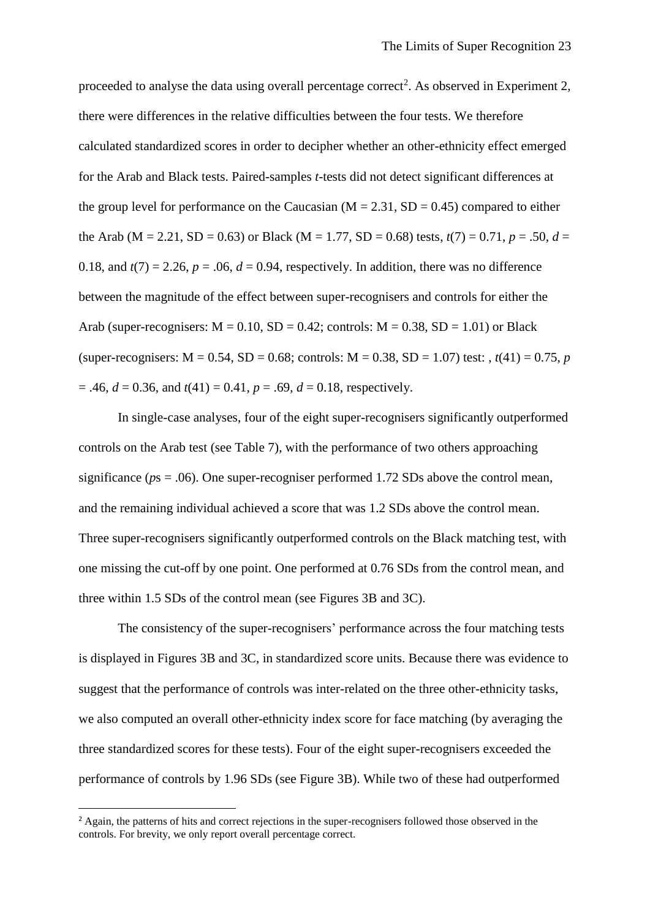proceeded to analyse the data using overall percentage correct<sup>2</sup>. As observed in Experiment 2, there were differences in the relative difficulties between the four tests. We therefore calculated standardized scores in order to decipher whether an other-ethnicity effect emerged for the Arab and Black tests. Paired-samples *t*-tests did not detect significant differences at the group level for performance on the Caucasian ( $M = 2.31$ ,  $SD = 0.45$ ) compared to either the Arab (M = 2.21, SD = 0.63) or Black (M = 1.77, SD = 0.68) tests,  $t(7) = 0.71$ ,  $p = .50$ ,  $d =$ 0.18, and  $t(7) = 2.26$ ,  $p = .06$ ,  $d = 0.94$ , respectively. In addition, there was no difference between the magnitude of the effect between super-recognisers and controls for either the Arab (super-recognisers:  $M = 0.10$ ,  $SD = 0.42$ ; controls:  $M = 0.38$ ,  $SD = 1.01$ ) or Black (super-recognisers:  $M = 0.54$ ,  $SD = 0.68$ ; controls:  $M = 0.38$ ,  $SD = 1.07$ ) test:  $t(41) = 0.75$ , *p*  $= .46, d = 0.36, and t(41) = 0.41, p = .69, d = 0.18, respectively.$ 

In single-case analyses, four of the eight super-recognisers significantly outperformed controls on the Arab test (see Table 7), with the performance of two others approaching significance ( $ps = .06$ ). One super-recogniser performed 1.72 SDs above the control mean, and the remaining individual achieved a score that was 1.2 SDs above the control mean. Three super-recognisers significantly outperformed controls on the Black matching test, with one missing the cut-off by one point. One performed at 0.76 SDs from the control mean, and three within 1.5 SDs of the control mean (see Figures 3B and 3C).

The consistency of the super-recognisers' performance across the four matching tests is displayed in Figures 3B and 3C, in standardized score units. Because there was evidence to suggest that the performance of controls was inter-related on the three other-ethnicity tasks, we also computed an overall other-ethnicity index score for face matching (by averaging the three standardized scores for these tests). Four of the eight super-recognisers exceeded the performance of controls by 1.96 SDs (see Figure 3B). While two of these had outperformed

**.** 

<sup>&</sup>lt;sup>2</sup> Again, the patterns of hits and correct rejections in the super-recognisers followed those observed in the controls. For brevity, we only report overall percentage correct.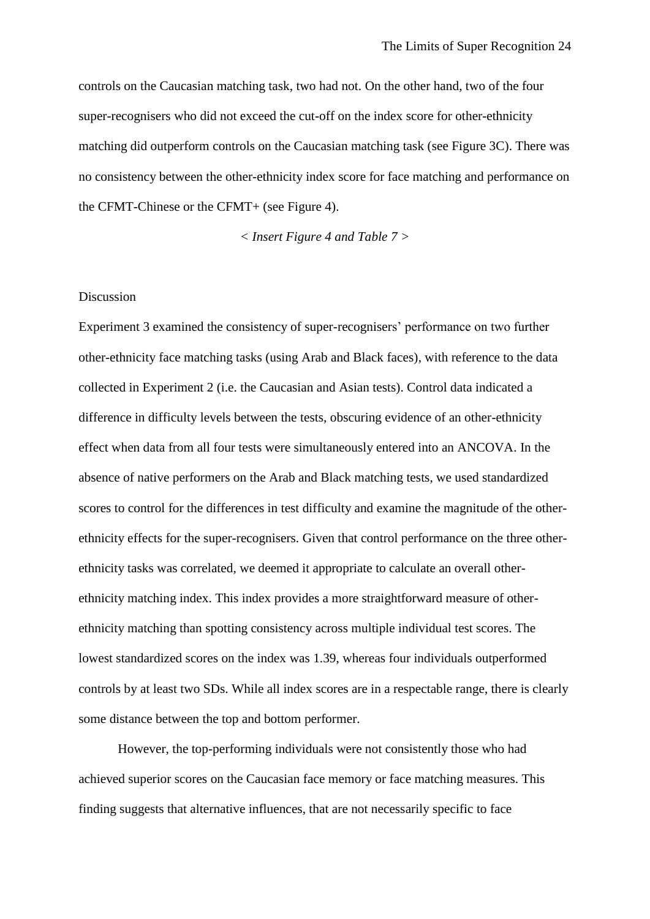controls on the Caucasian matching task, two had not. On the other hand, two of the four super-recognisers who did not exceed the cut-off on the index score for other-ethnicity matching did outperform controls on the Caucasian matching task (see Figure 3C). There was no consistency between the other-ethnicity index score for face matching and performance on the CFMT-Chinese or the CFMT+ (see Figure 4).

*< Insert Figure 4 and Table 7 >*

# Discussion

Experiment 3 examined the consistency of super-recognisers' performance on two further other-ethnicity face matching tasks (using Arab and Black faces), with reference to the data collected in Experiment 2 (i.e. the Caucasian and Asian tests). Control data indicated a difference in difficulty levels between the tests, obscuring evidence of an other-ethnicity effect when data from all four tests were simultaneously entered into an ANCOVA. In the absence of native performers on the Arab and Black matching tests, we used standardized scores to control for the differences in test difficulty and examine the magnitude of the otherethnicity effects for the super-recognisers. Given that control performance on the three otherethnicity tasks was correlated, we deemed it appropriate to calculate an overall otherethnicity matching index. This index provides a more straightforward measure of otherethnicity matching than spotting consistency across multiple individual test scores. The lowest standardized scores on the index was 1.39, whereas four individuals outperformed controls by at least two SDs. While all index scores are in a respectable range, there is clearly some distance between the top and bottom performer.

However, the top-performing individuals were not consistently those who had achieved superior scores on the Caucasian face memory or face matching measures. This finding suggests that alternative influences, that are not necessarily specific to face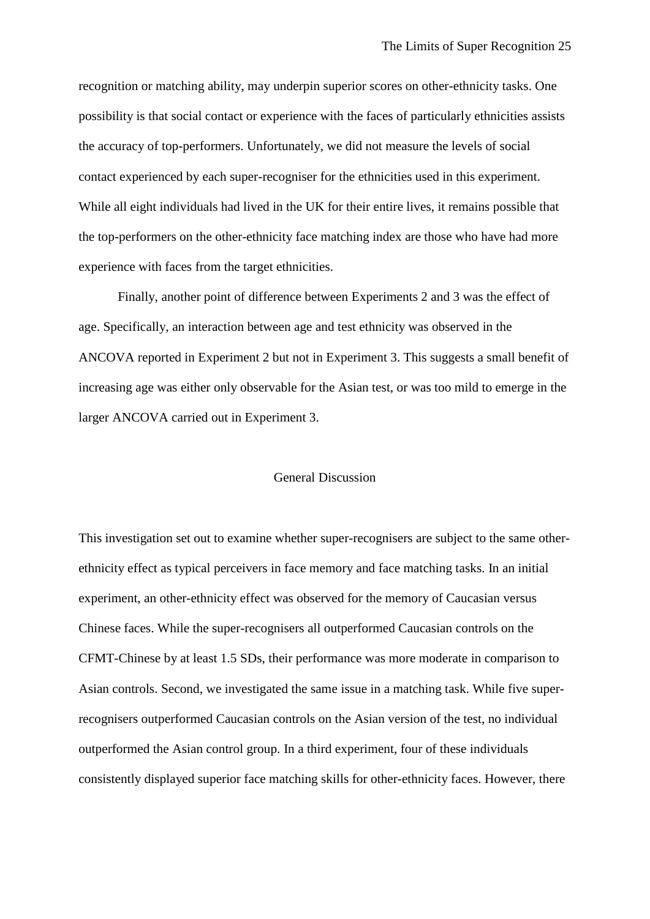recognition or matching ability, may underpin superior scores on other-ethnicity tasks. One possibility is that social contact or experience with the faces of particularly ethnicities assists the accuracy of top-performers. Unfortunately, we did not measure the levels of social contact experienced by each super-recogniser for the ethnicities used in this experiment. While all eight individuals had lived in the UK for their entire lives, it remains possible that the top-performers on the other-ethnicity face matching index are those who have had more experience with faces from the target ethnicities.

Finally, another point of difference between Experiments 2 and 3 was the effect of age. Specifically, an interaction between age and test ethnicity was observed in the ANCOVA reported in Experiment 2 but not in Experiment 3. This suggests a small benefit of increasing age was either only observable for the Asian test, or was too mild to emerge in the larger ANCOVA carried out in Experiment 3.

#### General Discussion

This investigation set out to examine whether super-recognisers are subject to the same otherethnicity effect as typical perceivers in face memory and face matching tasks. In an initial experiment, an other-ethnicity effect was observed for the memory of Caucasian versus Chinese faces. While the super-recognisers all outperformed Caucasian controls on the CFMT-Chinese by at least 1.5 SDs, their performance was more moderate in comparison to Asian controls. Second, we investigated the same issue in a matching task. While five superrecognisers outperformed Caucasian controls on the Asian version of the test, no individual outperformed the Asian control group. In a third experiment, four of these individuals consistently displayed superior face matching skills for other-ethnicity faces. However, there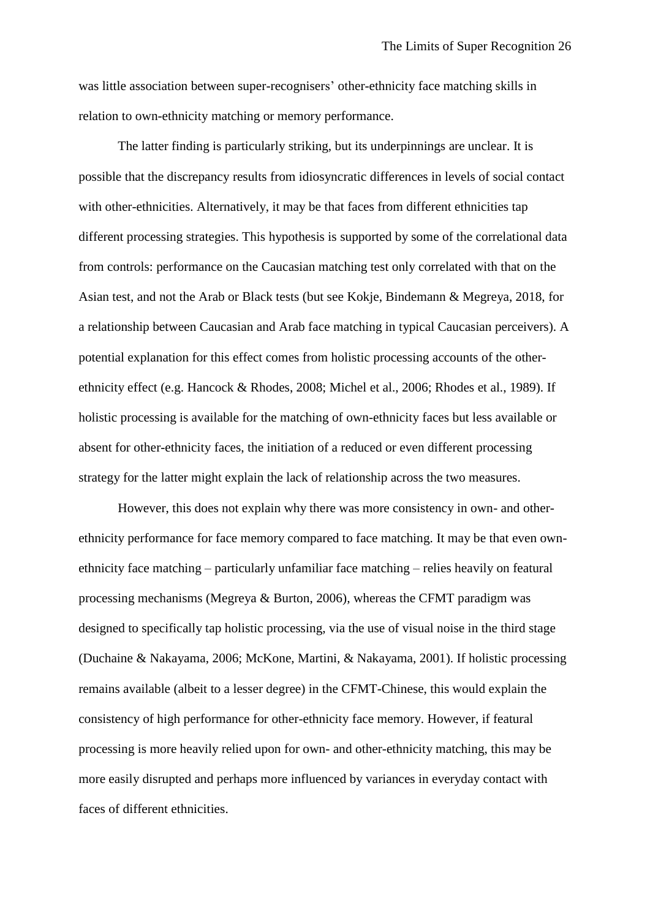was little association between super-recognisers' other-ethnicity face matching skills in relation to own-ethnicity matching or memory performance.

The latter finding is particularly striking, but its underpinnings are unclear. It is possible that the discrepancy results from idiosyncratic differences in levels of social contact with other-ethnicities. Alternatively, it may be that faces from different ethnicities tap different processing strategies. This hypothesis is supported by some of the correlational data from controls: performance on the Caucasian matching test only correlated with that on the Asian test, and not the Arab or Black tests (but see Kokje, Bindemann & Megreya, 2018, for a relationship between Caucasian and Arab face matching in typical Caucasian perceivers). A potential explanation for this effect comes from holistic processing accounts of the otherethnicity effect (e.g. Hancock & Rhodes, 2008; Michel et al., 2006; Rhodes et al., 1989). If holistic processing is available for the matching of own-ethnicity faces but less available or absent for other-ethnicity faces, the initiation of a reduced or even different processing strategy for the latter might explain the lack of relationship across the two measures.

However, this does not explain why there was more consistency in own- and otherethnicity performance for face memory compared to face matching. It may be that even ownethnicity face matching – particularly unfamiliar face matching – relies heavily on featural processing mechanisms (Megreya & Burton, 2006), whereas the CFMT paradigm was designed to specifically tap holistic processing, via the use of visual noise in the third stage (Duchaine & Nakayama, 2006; McKone, Martini, & Nakayama, 2001). If holistic processing remains available (albeit to a lesser degree) in the CFMT-Chinese, this would explain the consistency of high performance for other-ethnicity face memory. However, if featural processing is more heavily relied upon for own- and other-ethnicity matching, this may be more easily disrupted and perhaps more influenced by variances in everyday contact with faces of different ethnicities.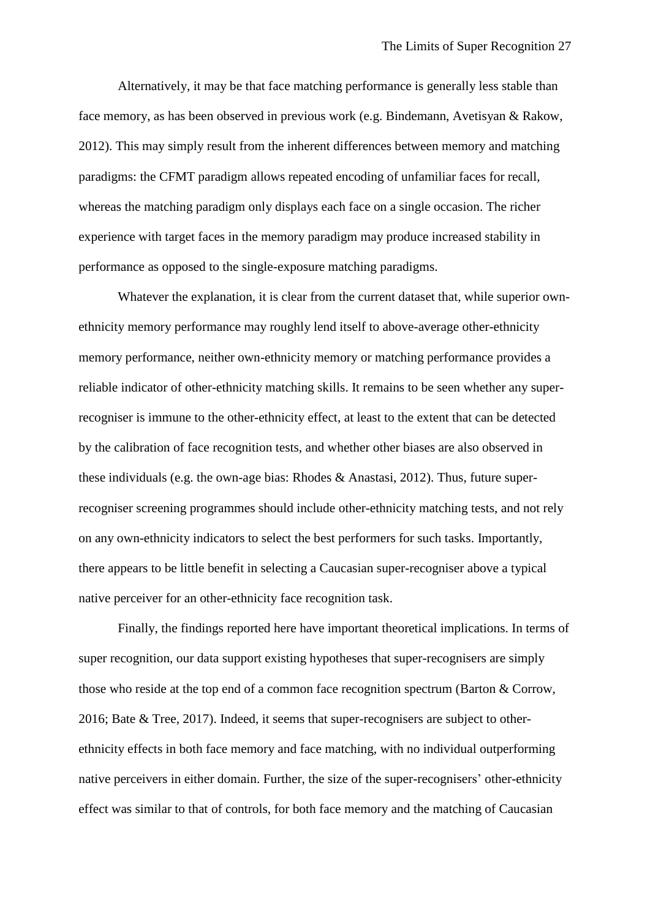Alternatively, it may be that face matching performance is generally less stable than face memory, as has been observed in previous work (e.g. Bindemann, Avetisyan & Rakow, 2012). This may simply result from the inherent differences between memory and matching paradigms: the CFMT paradigm allows repeated encoding of unfamiliar faces for recall, whereas the matching paradigm only displays each face on a single occasion. The richer experience with target faces in the memory paradigm may produce increased stability in performance as opposed to the single-exposure matching paradigms.

Whatever the explanation, it is clear from the current dataset that, while superior ownethnicity memory performance may roughly lend itself to above-average other-ethnicity memory performance, neither own-ethnicity memory or matching performance provides a reliable indicator of other-ethnicity matching skills. It remains to be seen whether any superrecogniser is immune to the other-ethnicity effect, at least to the extent that can be detected by the calibration of face recognition tests, and whether other biases are also observed in these individuals (e.g. the own-age bias: Rhodes & Anastasi, 2012). Thus, future superrecogniser screening programmes should include other-ethnicity matching tests, and not rely on any own-ethnicity indicators to select the best performers for such tasks. Importantly, there appears to be little benefit in selecting a Caucasian super-recogniser above a typical native perceiver for an other-ethnicity face recognition task.

Finally, the findings reported here have important theoretical implications. In terms of super recognition, our data support existing hypotheses that super-recognisers are simply those who reside at the top end of a common face recognition spectrum (Barton & Corrow, 2016; Bate & Tree, 2017). Indeed, it seems that super-recognisers are subject to otherethnicity effects in both face memory and face matching, with no individual outperforming native perceivers in either domain. Further, the size of the super-recognisers' other-ethnicity effect was similar to that of controls, for both face memory and the matching of Caucasian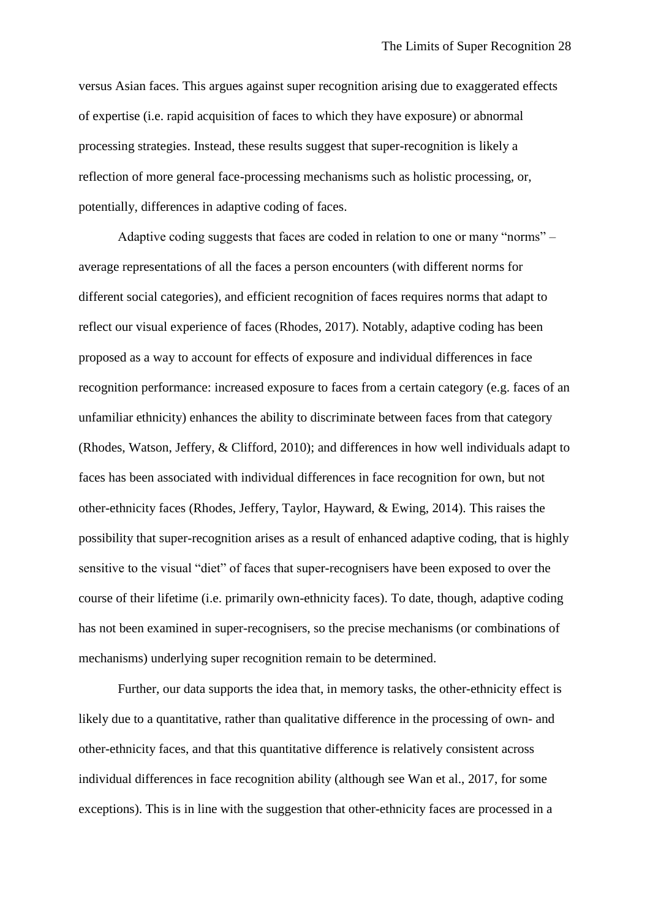versus Asian faces. This argues against super recognition arising due to exaggerated effects of expertise (i.e. rapid acquisition of faces to which they have exposure) or abnormal processing strategies. Instead, these results suggest that super-recognition is likely a reflection of more general face-processing mechanisms such as holistic processing, or, potentially, differences in adaptive coding of faces.

Adaptive coding suggests that faces are coded in relation to one or many "norms" – average representations of all the faces a person encounters (with different norms for different social categories), and efficient recognition of faces requires norms that adapt to reflect our visual experience of faces (Rhodes, 2017). Notably, adaptive coding has been proposed as a way to account for effects of exposure and individual differences in face recognition performance: increased exposure to faces from a certain category (e.g. faces of an unfamiliar ethnicity) enhances the ability to discriminate between faces from that category (Rhodes, Watson, Jeffery, & Clifford, 2010); and differences in how well individuals adapt to faces has been associated with individual differences in face recognition for own, but not other-ethnicity faces (Rhodes, Jeffery, Taylor, Hayward, & Ewing, 2014). This raises the possibility that super-recognition arises as a result of enhanced adaptive coding, that is highly sensitive to the visual "diet" of faces that super-recognisers have been exposed to over the course of their lifetime (i.e. primarily own-ethnicity faces). To date, though, adaptive coding has not been examined in super-recognisers, so the precise mechanisms (or combinations of mechanisms) underlying super recognition remain to be determined.

Further, our data supports the idea that, in memory tasks, the other-ethnicity effect is likely due to a quantitative, rather than qualitative difference in the processing of own- and other-ethnicity faces, and that this quantitative difference is relatively consistent across individual differences in face recognition ability (although see Wan et al., 2017, for some exceptions). This is in line with the suggestion that other-ethnicity faces are processed in a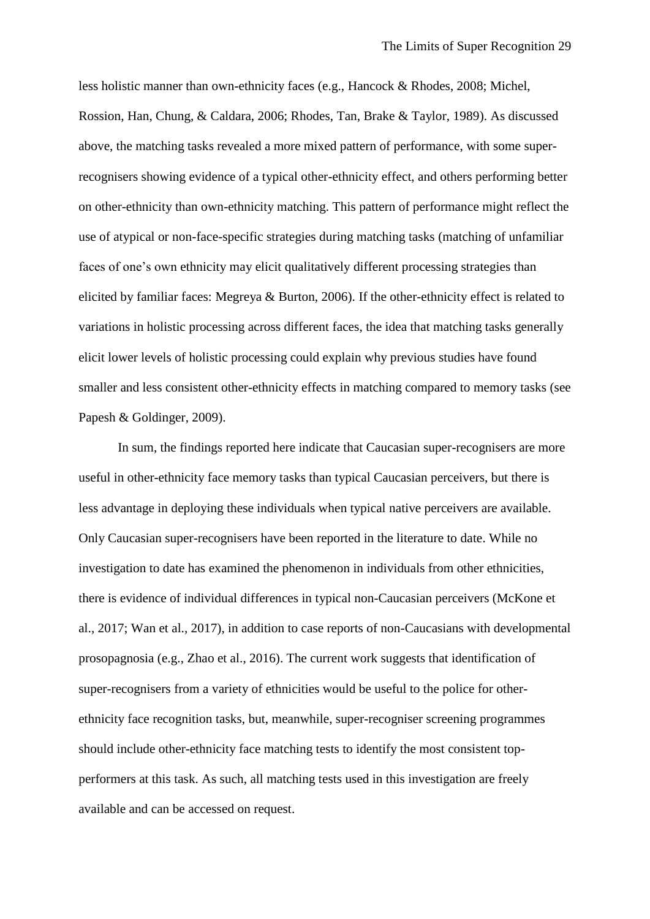less holistic manner than own-ethnicity faces (e.g., Hancock & Rhodes, 2008; Michel, Rossion, Han, Chung, & Caldara, 2006; Rhodes, Tan, Brake & Taylor, 1989). As discussed above, the matching tasks revealed a more mixed pattern of performance, with some superrecognisers showing evidence of a typical other-ethnicity effect, and others performing better on other-ethnicity than own-ethnicity matching. This pattern of performance might reflect the use of atypical or non-face-specific strategies during matching tasks (matching of unfamiliar faces of one's own ethnicity may elicit qualitatively different processing strategies than elicited by familiar faces: Megreya & Burton, 2006). If the other-ethnicity effect is related to variations in holistic processing across different faces, the idea that matching tasks generally elicit lower levels of holistic processing could explain why previous studies have found smaller and less consistent other-ethnicity effects in matching compared to memory tasks (see Papesh & Goldinger, 2009).

In sum, the findings reported here indicate that Caucasian super-recognisers are more useful in other-ethnicity face memory tasks than typical Caucasian perceivers, but there is less advantage in deploying these individuals when typical native perceivers are available. Only Caucasian super-recognisers have been reported in the literature to date. While no investigation to date has examined the phenomenon in individuals from other ethnicities, there is evidence of individual differences in typical non-Caucasian perceivers (McKone et al., 2017; Wan et al., 2017), in addition to case reports of non-Caucasians with developmental prosopagnosia (e.g., Zhao et al., 2016). The current work suggests that identification of super-recognisers from a variety of ethnicities would be useful to the police for otherethnicity face recognition tasks, but, meanwhile, super-recogniser screening programmes should include other-ethnicity face matching tests to identify the most consistent topperformers at this task. As such, all matching tests used in this investigation are freely available and can be accessed on request.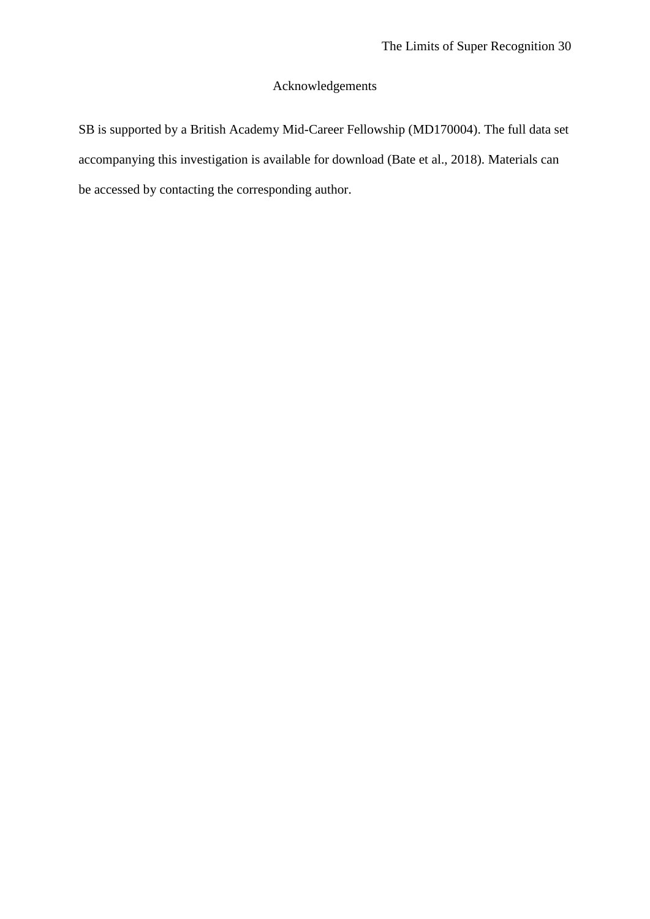# Acknowledgements

SB is supported by a British Academy Mid-Career Fellowship (MD170004). The full data set accompanying this investigation is available for download (Bate et al., 2018). Materials can be accessed by contacting the corresponding author.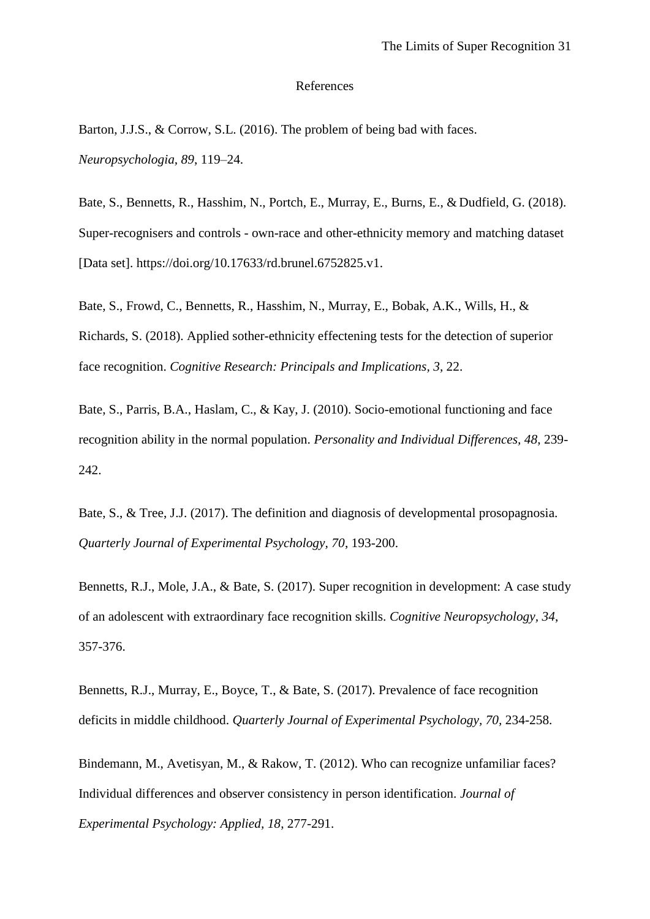#### References

Barton, J.J.S., & Corrow, S.L. (2016). The problem of being bad with faces. *Neuropsychologia, 89*, 119–24.

Bate, S., Bennetts, R., Hasshim, N., Portch, E., Murray, E., Burns, E., & Dudfield, G. (2018). Super-recognisers and controls - own-race and other-ethnicity memory and matching dataset [Data set]. https://doi.org/10.17633/rd.brunel.6752825.v1.

Bate, S., Frowd, C., Bennetts, R., Hasshim, N., Murray, E., Bobak, A.K., Wills, H., & Richards, S. (2018). Applied sother-ethnicity effectening tests for the detection of superior face recognition. *Cognitive Research: Principals and Implications, 3,* 22.

Bate, S., Parris, B.A., Haslam, C., & Kay, J. (2010). Socio-emotional functioning and face recognition ability in the normal population. *Personality and Individual Differences, 48*, 239- 242.

Bate, S., & Tree, J.J. (2017). The definition and diagnosis of developmental prosopagnosia. *Quarterly Journal of Experimental Psychology, 70*, 193-200.

Bennetts, R.J., Mole, J.A., & Bate, S. (2017). Super recognition in development: A case study of an adolescent with extraordinary face recognition skills. *Cognitive Neuropsychology, 34*, 357-376.

Bennetts, R.J., Murray, E., Boyce, T., & Bate, S. (2017). Prevalence of face recognition deficits in middle childhood. *Quarterly Journal of Experimental Psychology, 70, 234-258.* 

Bindemann, M., Avetisyan, M., & Rakow, T. (2012). Who can recognize unfamiliar faces? Individual differences and observer consistency in person identification. *Journal of Experimental Psychology: Applied, 18*, 277-291.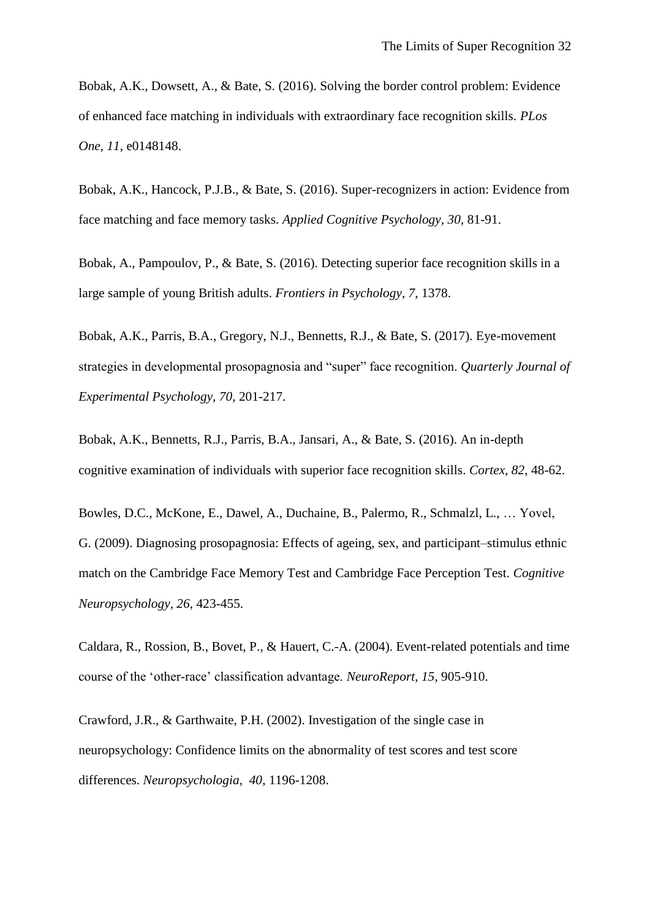Bobak, A.K., Dowsett, A., & Bate, S. (2016). Solving the border control problem: Evidence of enhanced face matching in individuals with extraordinary face recognition skills. *PLos One, 11*, e0148148.

Bobak, A.K., Hancock, P.J.B., & Bate, S. (2016). Super-recognizers in action: Evidence from face matching and face memory tasks. *Applied Cognitive Psychology, 30*, 81-91.

Bobak, A., Pampoulov, P., & Bate, S. (2016). Detecting superior face recognition skills in a large sample of young British adults. *Frontiers in Psychology, 7*, 1378.

Bobak, A.K., Parris, B.A., Gregory, N.J., Bennetts, R.J., & Bate, S. (2017). Eye-movement strategies in developmental prosopagnosia and "super" face recognition. *Quarterly Journal of Experimental Psychology, 70*, 201-217.

Bobak, A.K., Bennetts, R.J., Parris, B.A., Jansari, A., & Bate, S. (2016). An in-depth cognitive examination of individuals with superior face recognition skills. *Cortex, 82*, 48-62.

Bowles, D.C., McKone, E., Dawel, A., Duchaine, B., Palermo, R., Schmalzl, L., … Yovel, G. (2009). Diagnosing prosopagnosia: Effects of ageing, sex, and participant–stimulus ethnic match on the Cambridge Face Memory Test and Cambridge Face Perception Test. *Cognitive Neuropsychology, 26*, 423-455.

Caldara, R., Rossion, B., Bovet, P., & Hauert, C.-A. (2004). Event-related potentials and time course of the 'other-race' classification advantage. *NeuroReport, 15*, 905-910.

Crawford, J.R., & Garthwaite, P.H. (2002). Investigation of the single case in neuropsychology: Confidence limits on the abnormality of test scores and test score differences. *Neuropsychologia, 40*, 1196-1208.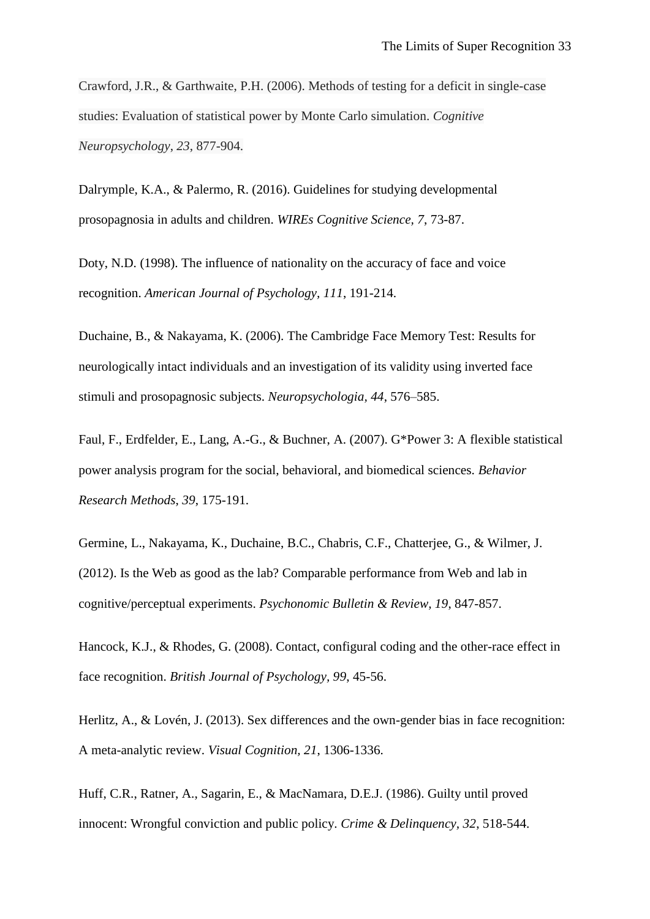Crawford, J.R., & Garthwaite, P.H. (2006). Methods of testing for a deficit in single-case studies: Evaluation of statistical power by Monte Carlo simulation. *Cognitive Neuropsychology*, *23*, 877-904.

Dalrymple, K.A., & Palermo, R. (2016). Guidelines for studying developmental prosopagnosia in adults and children. *WIREs Cognitive Science, 7*, 73-87.

Doty, N.D. (1998). The influence of nationality on the accuracy of face and voice recognition. *American Journal of Psychology, 111*, 191-214.

Duchaine, B., & Nakayama, K. (2006). The Cambridge Face Memory Test: Results for neurologically intact individuals and an investigation of its validity using inverted face stimuli and prosopagnosic subjects. *Neuropsychologia, 44*, 576–585.

Faul, F., Erdfelder, E., Lang, A.-G., & Buchner, A. (2007). G\*Power 3: A flexible statistical power analysis program for the social, behavioral, and biomedical sciences. *Behavior Research Methods*, *39*, 175-191.

Germine, L., Nakayama, K., Duchaine, B.C., Chabris, C.F., Chatterjee, G., & Wilmer, J. (2012). Is the Web as good as the lab? Comparable performance from Web and lab in cognitive/perceptual experiments. *Psychonomic Bulletin & Review, 19*, 847-857.

Hancock, K.J., & Rhodes, G. (2008). Contact, configural coding and the other-race effect in face recognition. *British Journal of Psychology, 99*, 45-56.

Herlitz, A., & Lovén, J. (2013). Sex differences and the own-gender bias in face recognition: A meta-analytic review. *Visual Cognition, 21*, 1306-1336.

Huff, C.R., Ratner, A., Sagarin, E., & MacNamara, D.E.J. (1986). Guilty until proved innocent: Wrongful conviction and public policy. *Crime & Delinquency, 32*, 518-544.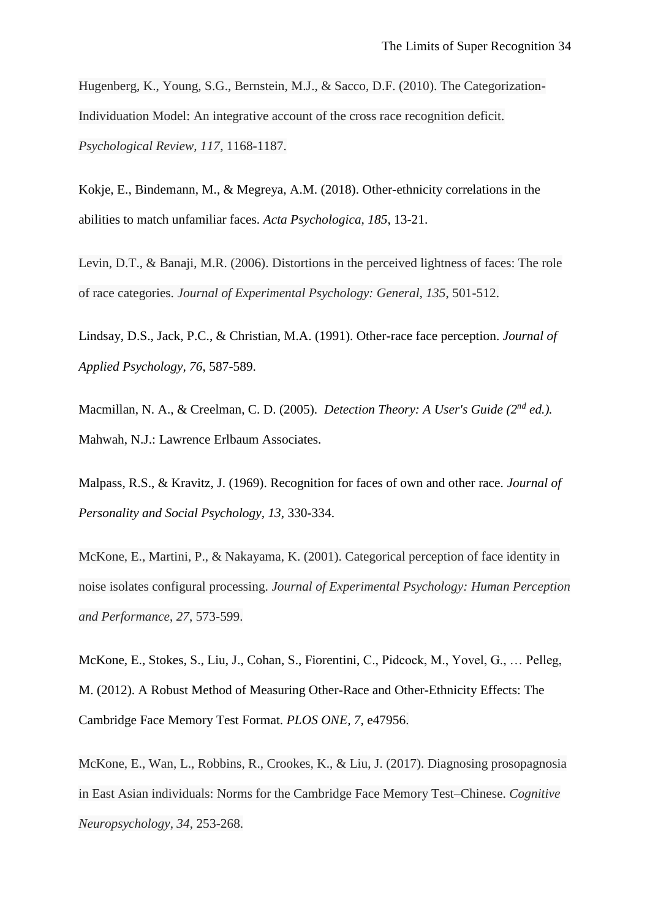Hugenberg, K., Young, S.G., Bernstein, M.J., & Sacco, D.F. (2010). The Categorization-Individuation Model: An integrative account of the cross race recognition deficit. *Psychological Review, 117*, 1168-1187.

Kokje, E., Bindemann, M., & Megreya, A.M. (2018). Other-ethnicity correlations in the abilities to match unfamiliar faces. *Acta Psychologica, 185*, 13-21.

Levin, D.T., & Banaji, M.R. (2006). Distortions in the perceived lightness of faces: The role of race categories. *Journal of Experimental Psychology: General, 135*, 501-512.

Lindsay, D.S., Jack, P.C., & Christian, M.A. (1991). Other-race face perception. *Journal of Applied Psychology, 76*, 587-589.

Macmillan, N. A., & Creelman, C. D. (2005). *Detection Theory: A User's Guide (2nd ed.).* Mahwah, N.J.: Lawrence Erlbaum Associates.

Malpass, R.S., & Kravitz, J. (1969). Recognition for faces of own and other race. *Journal of Personality and Social Psychology, 13*, 330-334.

McKone, E., Martini, P., & Nakayama, K. (2001). Categorical perception of face identity in noise isolates configural processing. *Journal of Experimental Psychology: Human Perception and Performance*, *27*, 573-599.

McKone, E., Stokes, S., Liu, J., Cohan, S., Fiorentini, C., Pidcock, M., Yovel, G., … Pelleg, M. (2012). A Robust Method of Measuring Other-Race and Other-Ethnicity Effects: The Cambridge Face Memory Test Format. *PLOS ONE, 7,* e47956.

McKone, E., Wan, L., Robbins, R., Crookes, K., & Liu, J. (2017). Diagnosing prosopagnosia in East Asian individuals: Norms for the Cambridge Face Memory Test–Chinese. *Cognitive Neuropsychology*, *34*, 253-268.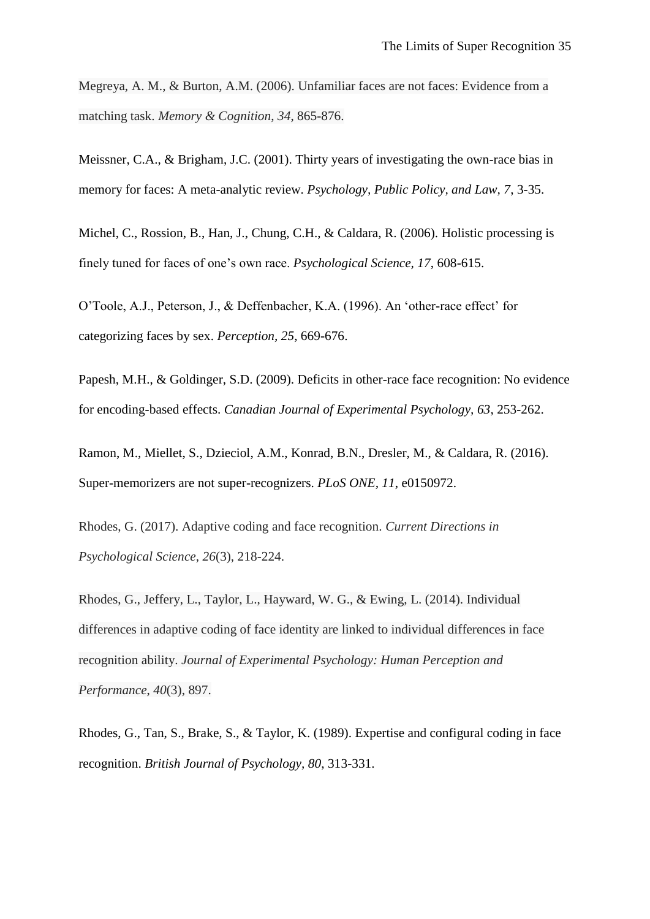Megreya, A. M., & Burton, A.M. (2006). Unfamiliar faces are not faces: Evidence from a matching task. *Memory & Cognition*, *34*, 865-876.

Meissner, C.A., & Brigham, J.C. (2001). Thirty years of investigating the own-race bias in memory for faces: A meta-analytic review. *Psychology, Public Policy, and Law, 7*, 3-35.

Michel, C., Rossion, B., Han, J., Chung, C.H., & Caldara, R. (2006). Holistic processing is finely tuned for faces of one's own race. *Psychological Science, 17*, 608-615.

O'Toole, A.J., Peterson, J., & Deffenbacher, K.A. (1996). An 'other-race effect' for categorizing faces by sex. *Perception, 25*, 669-676.

Papesh, M.H., & Goldinger, S.D. (2009). Deficits in other-race face recognition: No evidence for encoding-based effects. *Canadian Journal of Experimental Psychology, 63*, 253-262.

Ramon, M., Miellet, S., Dzieciol, A.M., Konrad, B.N., Dresler, M., & Caldara, R. (2016). Super-memorizers are not super-recognizers. *PLoS ONE, 11*, e0150972.

Rhodes, G. (2017). Adaptive coding and face recognition. *Current Directions in Psychological Science*, *26*(3), 218-224.

Rhodes, G., Jeffery, L., Taylor, L., Hayward, W. G., & Ewing, L. (2014). Individual differences in adaptive coding of face identity are linked to individual differences in face recognition ability. *Journal of Experimental Psychology: Human Perception and Performance*, *40*(3), 897.

Rhodes, G., Tan, S., Brake, S., & Taylor, K. (1989). Expertise and configural coding in face recognition. *British Journal of Psychology, 80*, 313-331.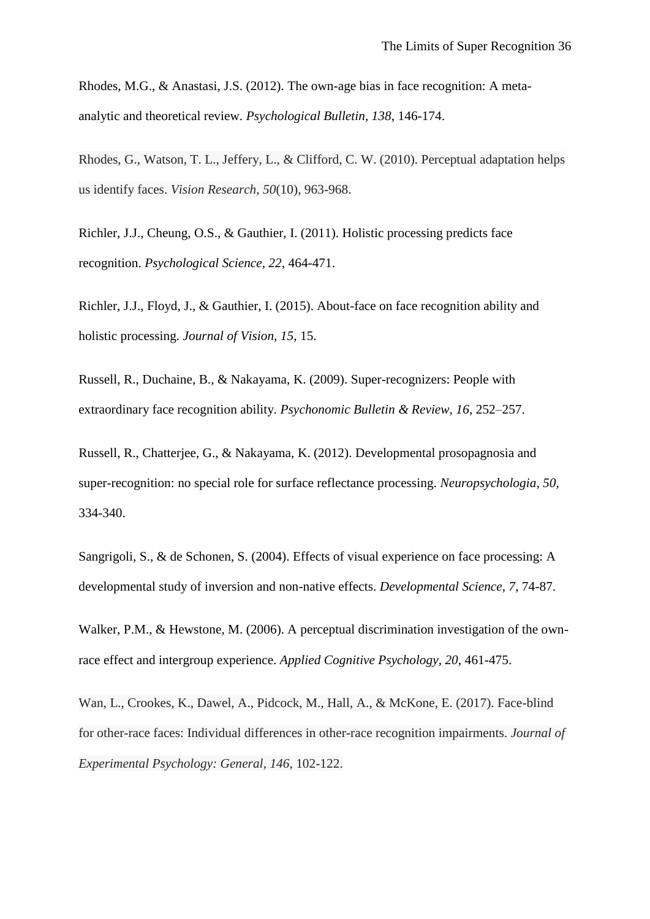Rhodes, M.G., & Anastasi, J.S. (2012). The own-age bias in face recognition: A metaanalytic and theoretical review. *Psychological Bulletin, 138*, 146-174.

Rhodes, G., Watson, T. L., Jeffery, L., & Clifford, C. W. (2010). Perceptual adaptation helps us identify faces. *Vision Research*, *50*(10), 963-968.

Richler, J.J., Cheung, O.S., & Gauthier, I. (2011). Holistic processing predicts face recognition. *Psychological Science, 22*, 464-471.

Richler, J.J., Floyd, J., & Gauthier, I. (2015). About-face on face recognition ability and holistic processing. *Journal of Vision, 15*, 15.

Russell, R., Duchaine, B., & Nakayama, K. (2009). Super-recognizers: People with extraordinary face recognition ability. *Psychonomic Bulletin & Review, 16*, 252–257.

Russell, R., Chatterjee, G., & Nakayama, K. (2012). Developmental prosopagnosia and super-recognition: no special role for surface reflectance processing. *Neuropsychologia, 50*, 334-340.

Sangrigoli, S., & de Schonen, S. (2004). Effects of visual experience on face processing: A developmental study of inversion and non-native effects. *Developmental Science, 7*, 74-87.

Walker, P.M., & Hewstone, M. (2006). A perceptual discrimination investigation of the ownrace effect and intergroup experience. *Applied Cognitive Psychology, 20*, 461-475.

Wan, L., Crookes, K., Dawel, A., Pidcock, M., Hall, A., & McKone, E. (2017). Face-blind for other-race faces: Individual differences in other-race recognition impairments. *Journal of Experimental Psychology: General*, *146*, 102-122.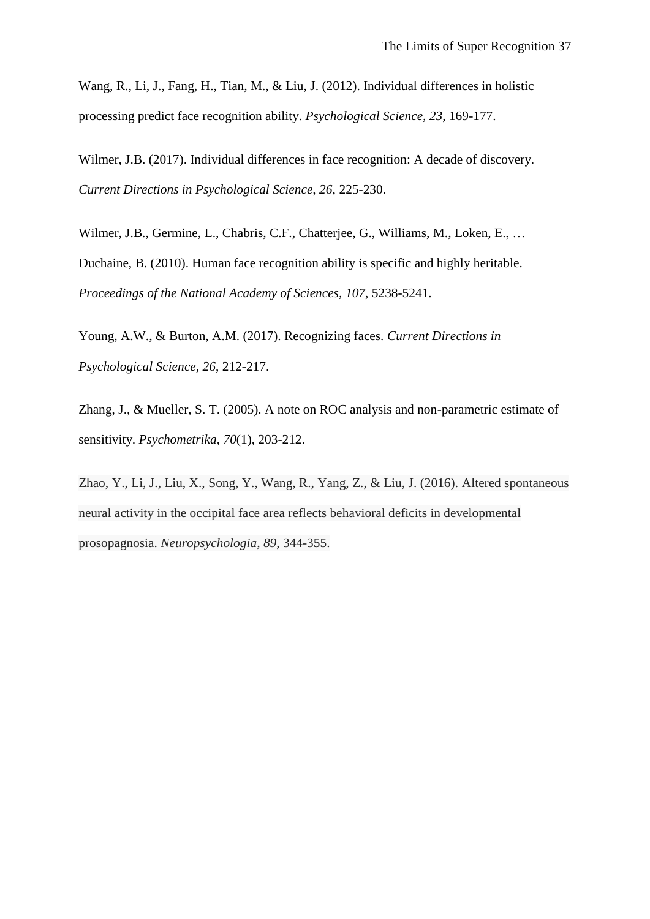Wang, R., Li, J., Fang, H., Tian, M., & Liu, J. (2012). Individual differences in holistic processing predict face recognition ability. *Psychological Science, 23*, 169-177.

Wilmer, J.B. (2017). Individual differences in face recognition: A decade of discovery. *Current Directions in Psychological Science, 26*, 225-230.

Wilmer, J.B., Germine, L., Chabris, C.F., Chatterjee, G., Williams, M., Loken, E., ... Duchaine, B. (2010). Human face recognition ability is specific and highly heritable. *Proceedings of the National Academy of Sciences, 107*, 5238-5241.

Young, A.W., & Burton, A.M. (2017). Recognizing faces. *Current Directions in Psychological Science, 26*, 212-217.

Zhang, J., & Mueller, S. T. (2005). A note on ROC analysis and non-parametric estimate of sensitivity. *Psychometrika*, *70*(1), 203-212.

Zhao, Y., Li, J., Liu, X., Song, Y., Wang, R., Yang, Z., & Liu, J. (2016). Altered spontaneous neural activity in the occipital face area reflects behavioral deficits in developmental prosopagnosia. *Neuropsychologia*, *89*, 344-355.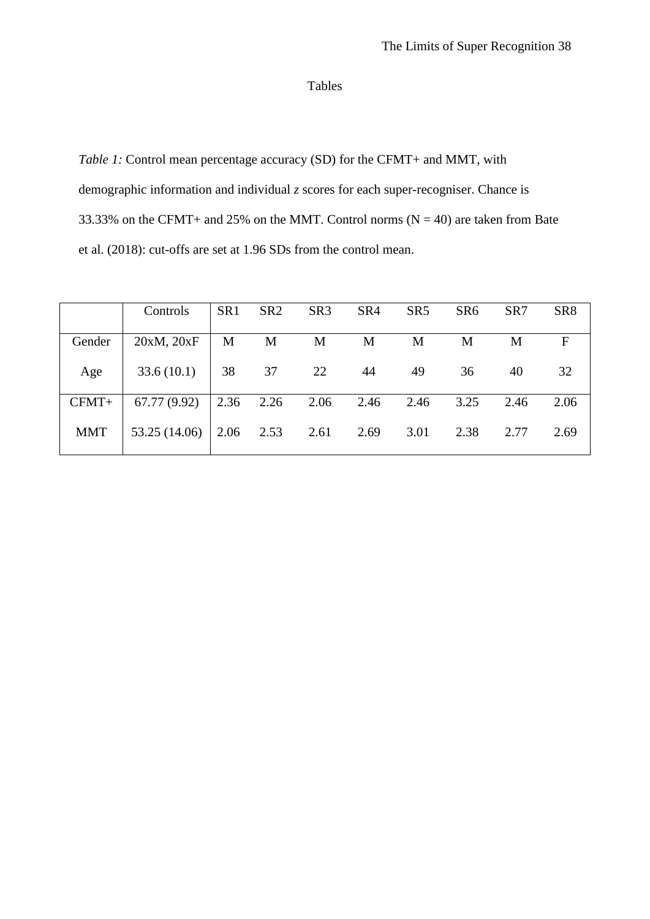# Tables

*Table 1:* Control mean percentage accuracy (SD) for the CFMT+ and MMT, with demographic information and individual *z* scores for each super-recogniser. Chance is 33.33% on the CFMT+ and 25% on the MMT. Control norms  $(N = 40)$  are taken from Bate et al. (2018): cut-offs are set at 1.96 SDs from the control mean.

|            | Controls      | SR <sub>1</sub> | SR <sub>2</sub> | SR <sub>3</sub> | SR <sub>4</sub> | SR <sub>5</sub> | SR <sub>6</sub> | SR7  | SR <sub>8</sub> |
|------------|---------------|-----------------|-----------------|-----------------|-----------------|-----------------|-----------------|------|-----------------|
| Gender     | 20xM, 20xF    | M               | M               | M               | M               | M               | M               | M    | F               |
| Age        | 33.6(10.1)    | 38              | 37              | 22              | 44              | 49              | 36              | 40   | 32              |
| $CFMT+$    | 67.77 (9.92)  | 2.36            | 2.26            | 2.06            | 2.46            | 2.46            | 3.25            | 2.46 | 2.06            |
| <b>MMT</b> | 53.25 (14.06) | $2.06$ 2.53     |                 | 2.61            | 2.69            | 3.01            | 2.38            | 2.77 | 2.69            |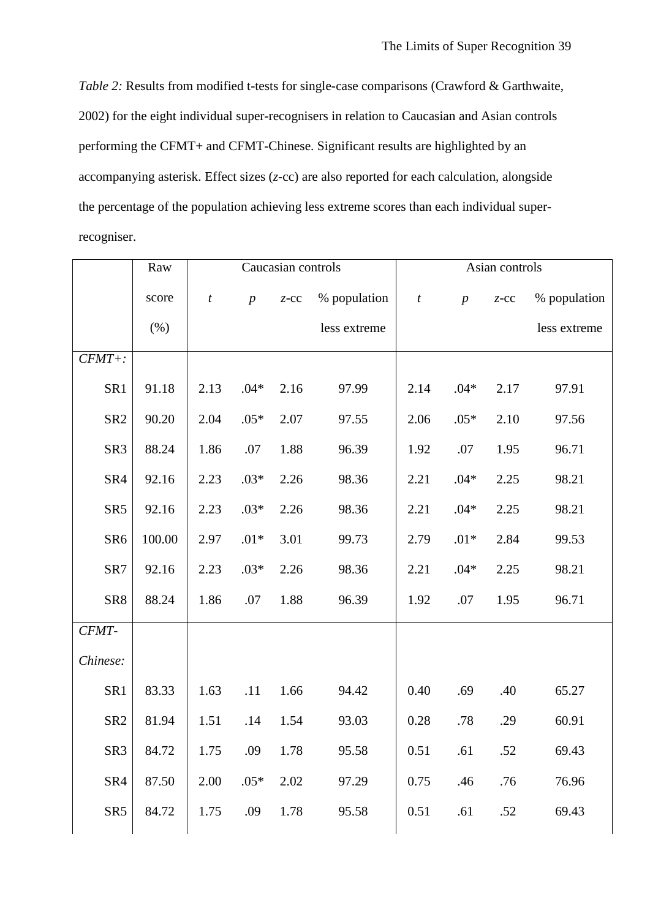*Table 2:* Results from modified t-tests for single-case comparisons (Crawford & Garthwaite, 2002) for the eight individual super-recognisers in relation to Caucasian and Asian controls performing the CFMT+ and CFMT-Chinese. Significant results are highlighted by an accompanying asterisk. Effect sizes (*z*-cc) are also reported for each calculation, alongside the percentage of the population achieving less extreme scores than each individual superrecogniser.

|                 | Raw    | Caucasian controls |                  |         | Asian controls |                  |                  |         |              |
|-----------------|--------|--------------------|------------------|---------|----------------|------------------|------------------|---------|--------------|
|                 | score  | $\boldsymbol{t}$   | $\boldsymbol{p}$ | $Z$ -CC | % population   | $\boldsymbol{t}$ | $\boldsymbol{p}$ | $Z$ -CC | % population |
|                 | (% )   |                    |                  |         | less extreme   |                  |                  |         | less extreme |
| $CFMT +$ :      |        |                    |                  |         |                |                  |                  |         |              |
| SR1             | 91.18  | 2.13               | $.04*$           | 2.16    | 97.99          | 2.14             | $.04*$           | 2.17    | 97.91        |
| SR <sub>2</sub> | 90.20  | 2.04               | $.05*$           | 2.07    | 97.55          | 2.06             | $.05*$           | 2.10    | 97.56        |
| SR <sub>3</sub> | 88.24  | 1.86               | .07              | 1.88    | 96.39          | 1.92             | .07              | 1.95    | 96.71        |
| SR4             | 92.16  | 2.23               | $.03*$           | 2.26    | 98.36          | 2.21             | $.04*$           | 2.25    | 98.21        |
| SR <sub>5</sub> | 92.16  | 2.23               | $.03*$           | 2.26    | 98.36          | 2.21             | $.04*$           | 2.25    | 98.21        |
| SR <sub>6</sub> | 100.00 | 2.97               | $.01*$           | 3.01    | 99.73          | 2.79             | $.01*$           | 2.84    | 99.53        |
| SR7             | 92.16  | 2.23               | $.03*$           | 2.26    | 98.36          | 2.21             | $.04*$           | 2.25    | 98.21        |
| SR8             | 88.24  | 1.86               | .07              | 1.88    | 96.39          | 1.92             | .07              | 1.95    | 96.71        |
| CFMT-           |        |                    |                  |         |                |                  |                  |         |              |
| Chinese:        |        |                    |                  |         |                |                  |                  |         |              |
| SR1             | 83.33  | 1.63               | .11              | 1.66    | 94.42          | 0.40             | .69              | .40     | 65.27        |
| SR <sub>2</sub> | 81.94  | 1.51               | .14              | 1.54    | 93.03          | 0.28             | .78              | .29     | 60.91        |
| SR <sub>3</sub> | 84.72  | 1.75               | .09              | 1.78    | 95.58          | 0.51             | .61              | .52     | 69.43        |
| SR4             | 87.50  | 2.00               | $.05*$           | 2.02    | 97.29          | 0.75             | .46              | .76     | 76.96        |
| SR <sub>5</sub> | 84.72  | 1.75               | .09              | 1.78    | 95.58          | 0.51             | .61              | .52     | 69.43        |
|                 |        |                    |                  |         |                |                  |                  |         |              |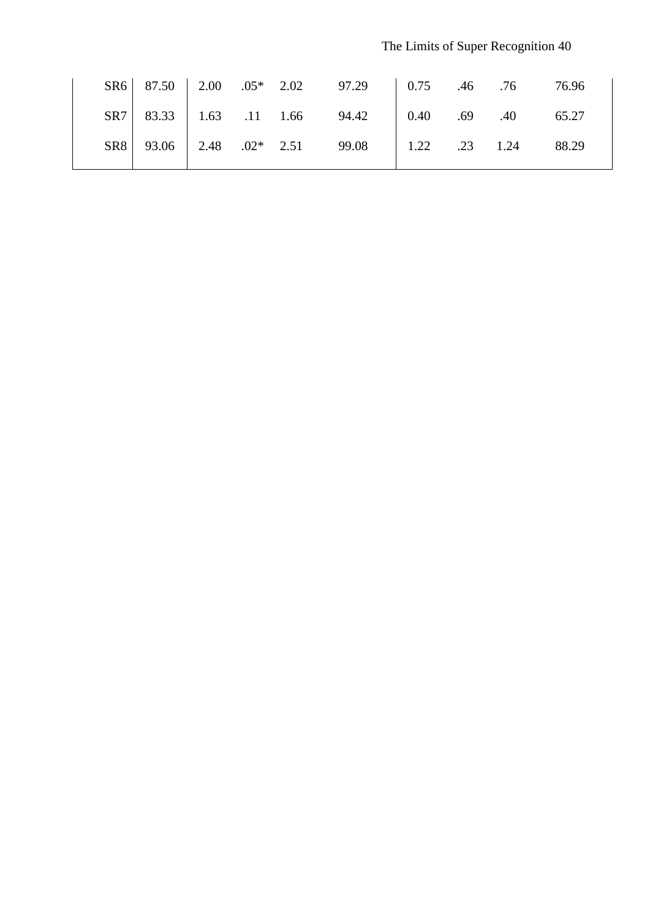|  |  | SR6 87.50 2.00 .05* 2.02 97.29 0.75 .46 .76 76.96  |  |  |
|--|--|----------------------------------------------------|--|--|
|  |  | SR7 83.33 1.63 .11 1.66 94.42 0.40 .69 .40 65.27   |  |  |
|  |  | SR8 93.06 2.48 .02* 2.51 99.08 1.22 .23 1.24 88.29 |  |  |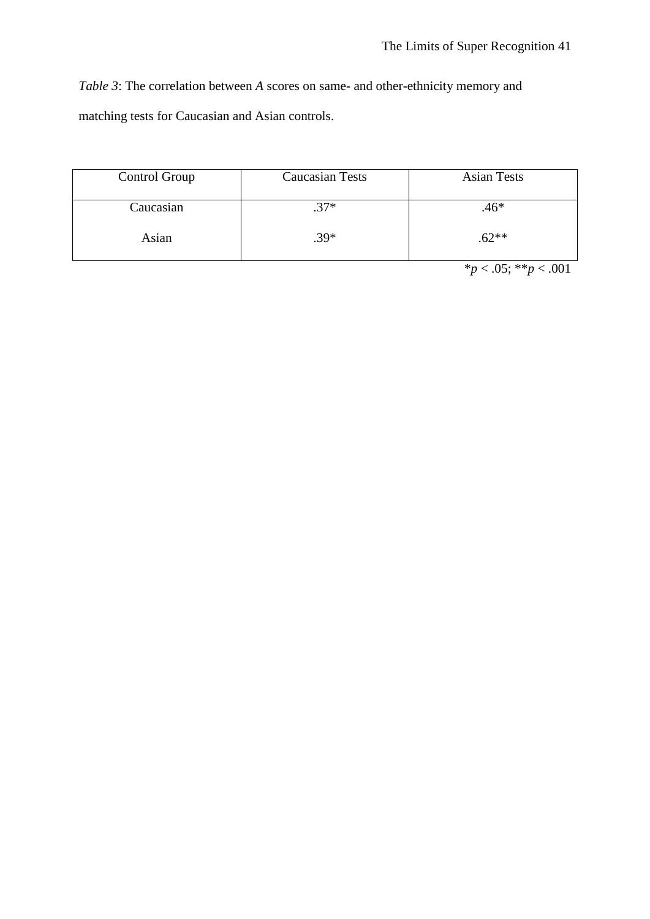*Table 3*: The correlation between *A* scores on same- and other-ethnicity memory and matching tests for Caucasian and Asian controls.

| Control Group | <b>Caucasian Tests</b> | <b>Asian Tests</b> |
|---------------|------------------------|--------------------|
| Caucasian     | $37*$                  | $.46*$             |
| Asian         | $.39*$                 | $.62**$            |

 $**p* < .05; ***p* < .001$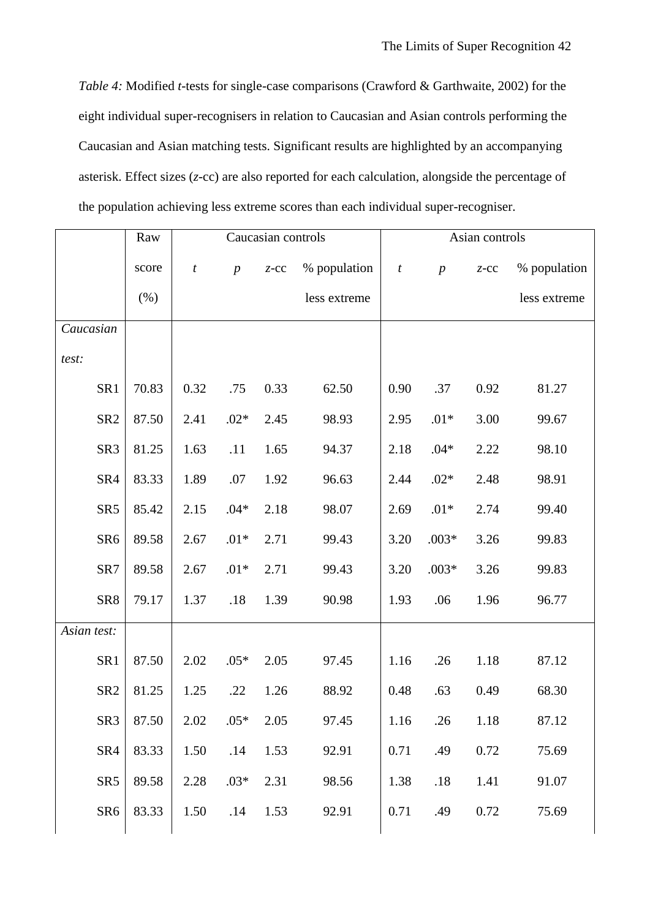*Table 4:* Modified *t*-tests for single-case comparisons (Crawford & Garthwaite, 2002) for the eight individual super-recognisers in relation to Caucasian and Asian controls performing the Caucasian and Asian matching tests. Significant results are highlighted by an accompanying asterisk. Effect sizes (*z*-cc) are also reported for each calculation, alongside the percentage of the population achieving less extreme scores than each individual super-recogniser.

|                 | Raw   |                  |                  | Caucasian controls |              | Asian controls   |                  |         |              |
|-----------------|-------|------------------|------------------|--------------------|--------------|------------------|------------------|---------|--------------|
|                 | score | $\boldsymbol{t}$ | $\boldsymbol{p}$ | $Z$ -CC            | % population | $\boldsymbol{t}$ | $\boldsymbol{p}$ | $Z$ -CC | % population |
|                 | (% )  |                  |                  |                    | less extreme |                  |                  |         | less extreme |
| Caucasian       |       |                  |                  |                    |              |                  |                  |         |              |
| test:           |       |                  |                  |                    |              |                  |                  |         |              |
| SR1             | 70.83 | 0.32             | .75              | 0.33               | 62.50        | 0.90             | .37              | 0.92    | 81.27        |
| SR <sub>2</sub> | 87.50 | 2.41             | $.02*$           | 2.45               | 98.93        | 2.95             | $.01*$           | 3.00    | 99.67        |
| SR <sub>3</sub> | 81.25 | 1.63             | .11              | 1.65               | 94.37        | 2.18             | $.04*$           | 2.22    | 98.10        |
| SR4             | 83.33 | 1.89             | .07              | 1.92               | 96.63        | 2.44             | $.02*$           | 2.48    | 98.91        |
| SR <sub>5</sub> | 85.42 | 2.15             | $.04*$           | 2.18               | 98.07        | 2.69             | $.01*$           | 2.74    | 99.40        |
| SR <sub>6</sub> | 89.58 | 2.67             | $.01*$           | 2.71               | 99.43        | 3.20             | $.003*$          | 3.26    | 99.83        |
| SR7             | 89.58 | 2.67             | $.01*$           | 2.71               | 99.43        | 3.20             | $.003*$          | 3.26    | 99.83        |
| SR8             | 79.17 | 1.37             | .18              | 1.39               | 90.98        | 1.93             | .06              | 1.96    | 96.77        |
| Asian test:     |       |                  |                  |                    |              |                  |                  |         |              |
| SR1             | 87.50 | 2.02             | $.05*$           | 2.05               | 97.45        | 1.16             | .26              | 1.18    | 87.12        |
| SR <sub>2</sub> | 81.25 | 1.25             | .22              | 1.26               | 88.92        | 0.48             | .63              | 0.49    | 68.30        |
| SR <sub>3</sub> | 87.50 | 2.02             | $.05*$           | 2.05               | 97.45        | 1.16             | .26              | 1.18    | 87.12        |
| SR4             | 83.33 | 1.50             | .14              | 1.53               | 92.91        | 0.71             | .49              | 0.72    | 75.69        |
| SR <sub>5</sub> | 89.58 | 2.28             | $.03*$           | 2.31               | 98.56        | 1.38             | .18              | 1.41    | 91.07        |
| SR <sub>6</sub> | 83.33 | 1.50             | .14              | 1.53               | 92.91        | 0.71             | .49              | 0.72    | 75.69        |
|                 |       |                  |                  |                    |              |                  |                  |         |              |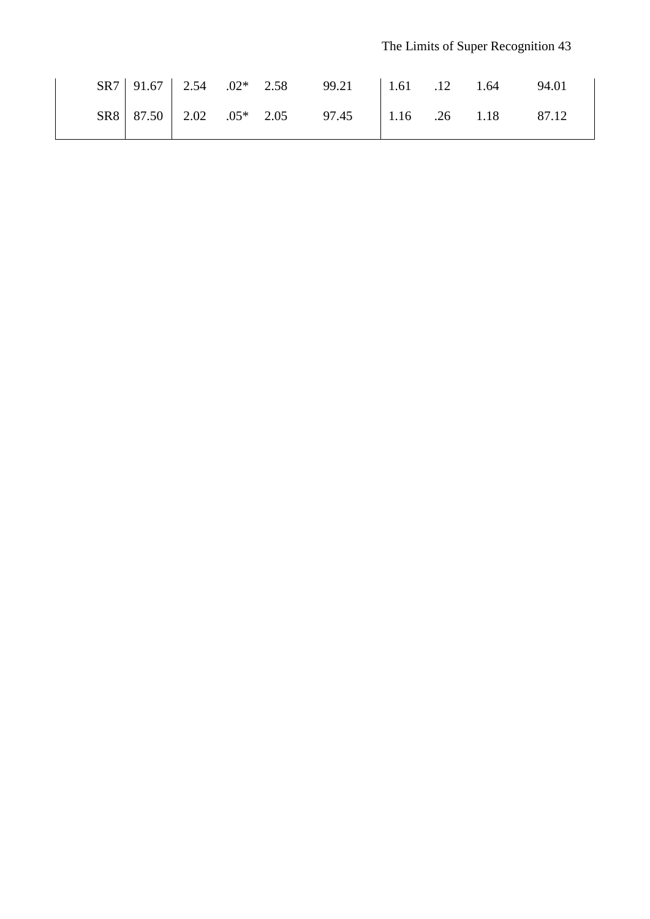|  |  | SR7 91.67 2.54 .02* 2.58 99.21 1.61 .12 1.64   |  | 94.01 |
|--|--|------------------------------------------------|--|-------|
|  |  | $SRS$ 87.50 2.02 .05* 2.05 97.45 1.16 .26 1.18 |  | 87.12 |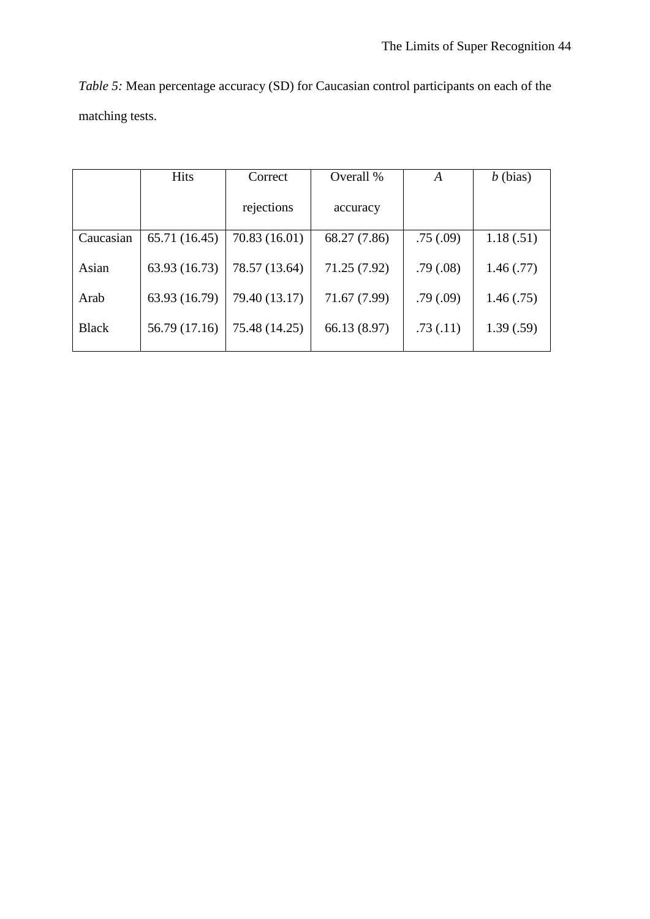| <i>Table 5:</i> Mean percentage accuracy (SD) for Caucasian control participants on each of the |  |  |
|-------------------------------------------------------------------------------------------------|--|--|
| matching tests.                                                                                 |  |  |

|              | <b>Hits</b>   | Correct       | Overall %    | A         | $b$ (bias) |
|--------------|---------------|---------------|--------------|-----------|------------|
|              |               | rejections    | accuracy     |           |            |
| Caucasian    | 65.71 (16.45) | 70.83 (16.01) | 68.27 (7.86) | .75(.09)  | 1.18(.51)  |
| Asian        | 63.93 (16.73) | 78.57 (13.64) | 71.25 (7.92) | .79(0.08) | 1.46(0.77) |
| Arab         | 63.93 (16.79) | 79.40 (13.17) | 71.67 (7.99) | .79(.09)  | 1.46(.75)  |
| <b>Black</b> | 56.79 (17.16) | 75.48 (14.25) | 66.13 (8.97) | .73(.11)  | 1.39(.59)  |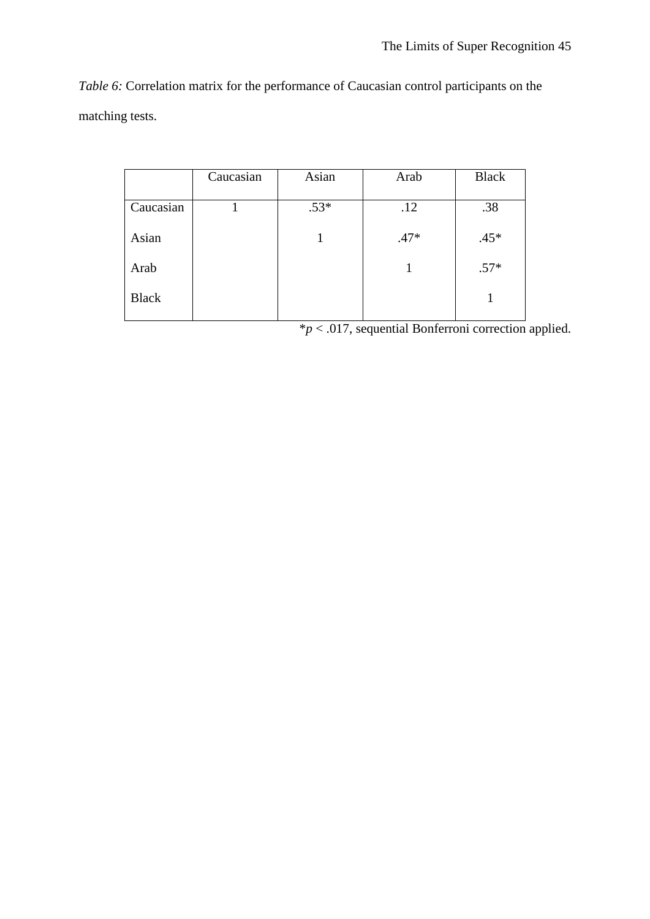*Table 6:* Correlation matrix for the performance of Caucasian control participants on the matching tests.

|              | Caucasian | Asian  | Arab   | <b>Black</b> |
|--------------|-----------|--------|--------|--------------|
|              |           |        |        |              |
| Caucasian    |           | $.53*$ | .12    | .38          |
| Asian        |           |        | $.47*$ | $.45*$       |
| Arab         |           |        |        | $.57*$       |
| <b>Black</b> |           |        |        |              |

\**p* < .017, sequential Bonferroni correction applied.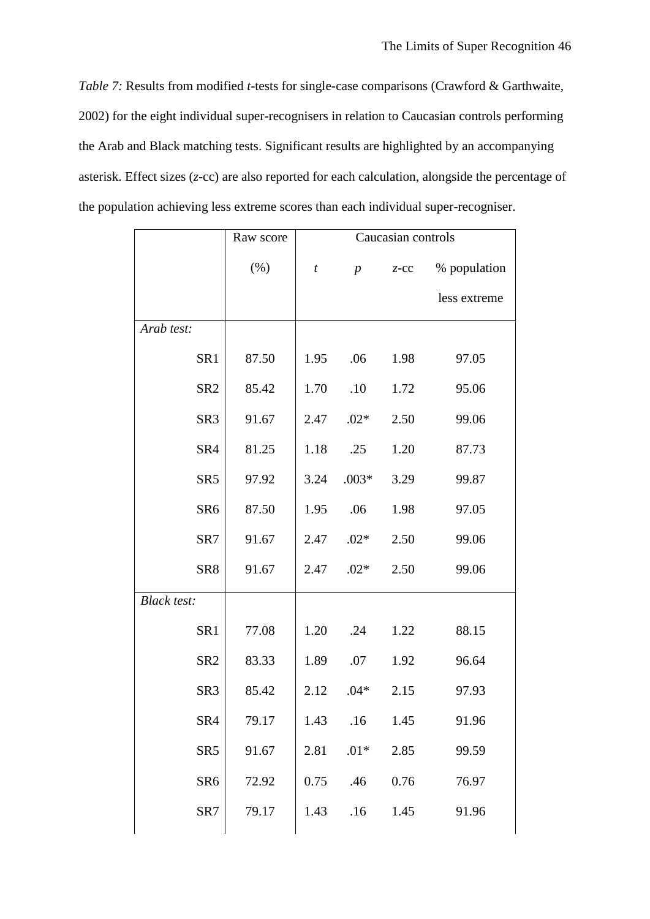*Table 7:* Results from modified *t*-tests for single-case comparisons (Crawford & Garthwaite, 2002) for the eight individual super-recognisers in relation to Caucasian controls performing the Arab and Black matching tests. Significant results are highlighted by an accompanying asterisk. Effect sizes (*z*-cc) are also reported for each calculation, alongside the percentage of the population achieving less extreme scores than each individual super-recogniser.

|                    | Raw score | Caucasian controls |                  |         |              |  |
|--------------------|-----------|--------------------|------------------|---------|--------------|--|
|                    | (% )      | t                  | $\boldsymbol{p}$ | $Z$ -CC | % population |  |
|                    |           |                    |                  |         | less extreme |  |
| Arab test:         |           |                    |                  |         |              |  |
| SR1                | 87.50     | 1.95               | .06              | 1.98    | 97.05        |  |
| SR <sub>2</sub>    | 85.42     | 1.70               | .10              | 1.72    | 95.06        |  |
| SR <sub>3</sub>    | 91.67     | 2.47               | $.02*$           | 2.50    | 99.06        |  |
| SR4                | 81.25     | 1.18               | .25              | 1.20    | 87.73        |  |
| SR <sub>5</sub>    | 97.92     | 3.24               | $.003*$          | 3.29    | 99.87        |  |
| SR <sub>6</sub>    | 87.50     | 1.95               | .06              | 1.98    | 97.05        |  |
| SR7                | 91.67     | 2.47               | $.02*$           | 2.50    | 99.06        |  |
| SR8                | 91.67     | 2.47               | $.02*$           | 2.50    | 99.06        |  |
| <b>Black test:</b> |           |                    |                  |         |              |  |
| SR1                | 77.08     | 1.20               | .24              | 1.22    | 88.15        |  |
| SR <sub>2</sub>    | 83.33     | 1.89               | .07              | 1.92    | 96.64        |  |
| SR3                | 85.42     | 2.12               | $.04*$           | 2.15    | 97.93        |  |
| SR4                | 79.17     | 1.43               | .16              | 1.45    | 91.96        |  |
| SR <sub>5</sub>    | 91.67     | 2.81               | $.01*$           | 2.85    | 99.59        |  |
| SR <sub>6</sub>    | 72.92     | 0.75               | .46              | 0.76    | 76.97        |  |
| SR7                | 79.17     | 1.43               | .16              | 1.45    | 91.96        |  |
|                    |           |                    |                  |         |              |  |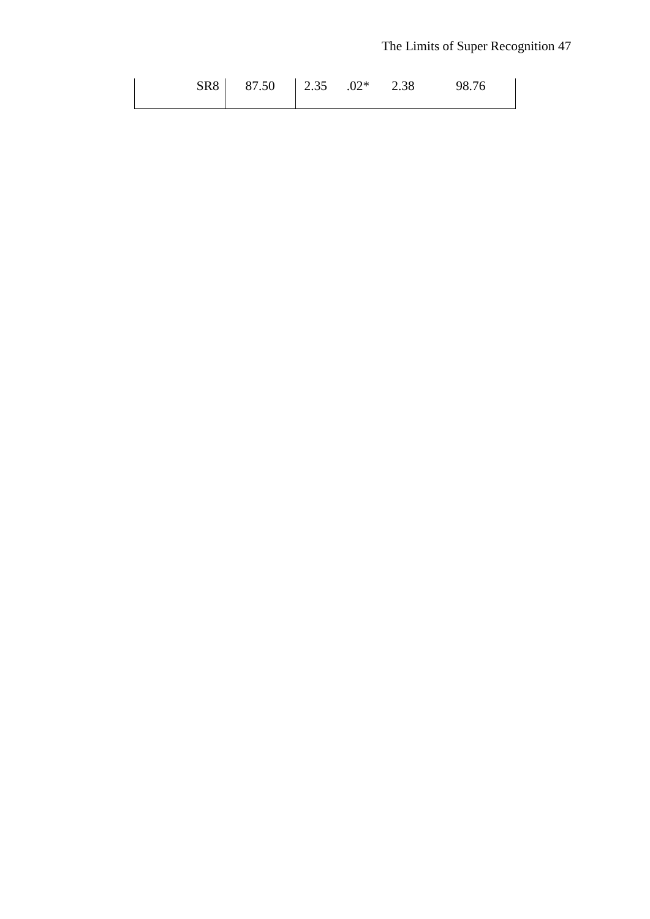# The Limits of Super Recognition 47

| SR8 87.50 2.35 .02* 2.38 98.76 |  |  |  |
|--------------------------------|--|--|--|
|                                |  |  |  |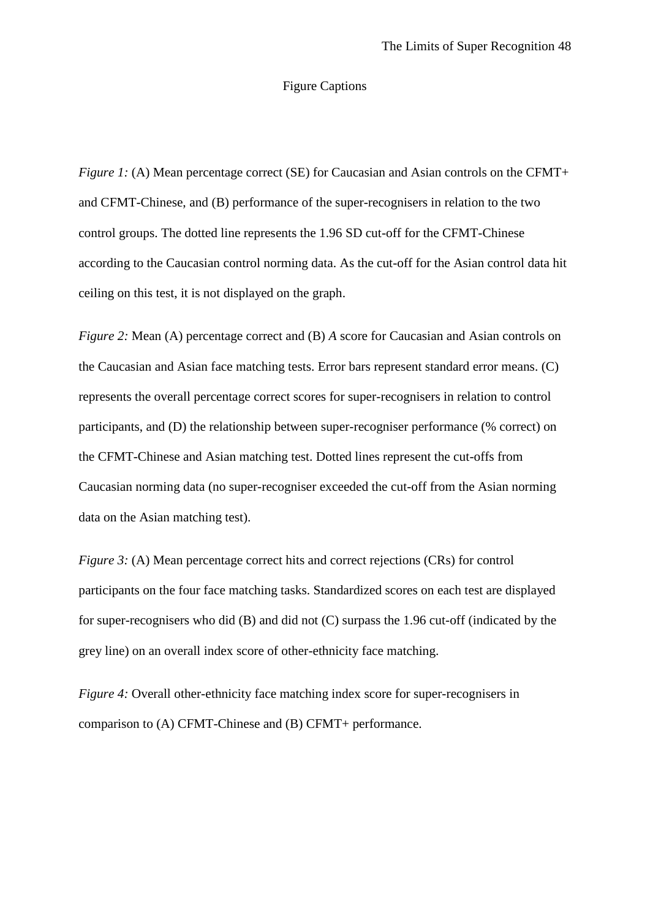#### Figure Captions

*Figure 1:* (A) Mean percentage correct (SE) for Caucasian and Asian controls on the CFMT+ and CFMT-Chinese, and (B) performance of the super-recognisers in relation to the two control groups. The dotted line represents the 1.96 SD cut-off for the CFMT-Chinese according to the Caucasian control norming data. As the cut-off for the Asian control data hit ceiling on this test, it is not displayed on the graph.

*Figure 2:* Mean (A) percentage correct and (B) *A* score for Caucasian and Asian controls on the Caucasian and Asian face matching tests. Error bars represent standard error means. (C) represents the overall percentage correct scores for super-recognisers in relation to control participants, and (D) the relationship between super-recogniser performance (% correct) on the CFMT-Chinese and Asian matching test. Dotted lines represent the cut-offs from Caucasian norming data (no super-recogniser exceeded the cut-off from the Asian norming data on the Asian matching test).

*Figure 3:* (A) Mean percentage correct hits and correct rejections (CRs) for control participants on the four face matching tasks. Standardized scores on each test are displayed for super-recognisers who did (B) and did not (C) surpass the 1.96 cut-off (indicated by the grey line) on an overall index score of other-ethnicity face matching.

*Figure 4:* Overall other-ethnicity face matching index score for super-recognisers in comparison to (A) CFMT-Chinese and (B) CFMT+ performance.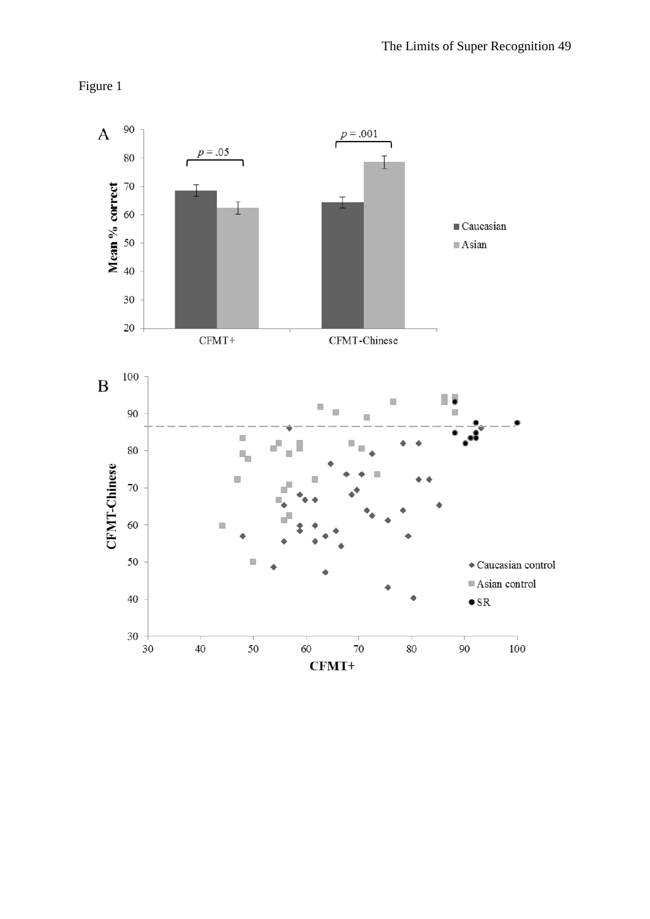

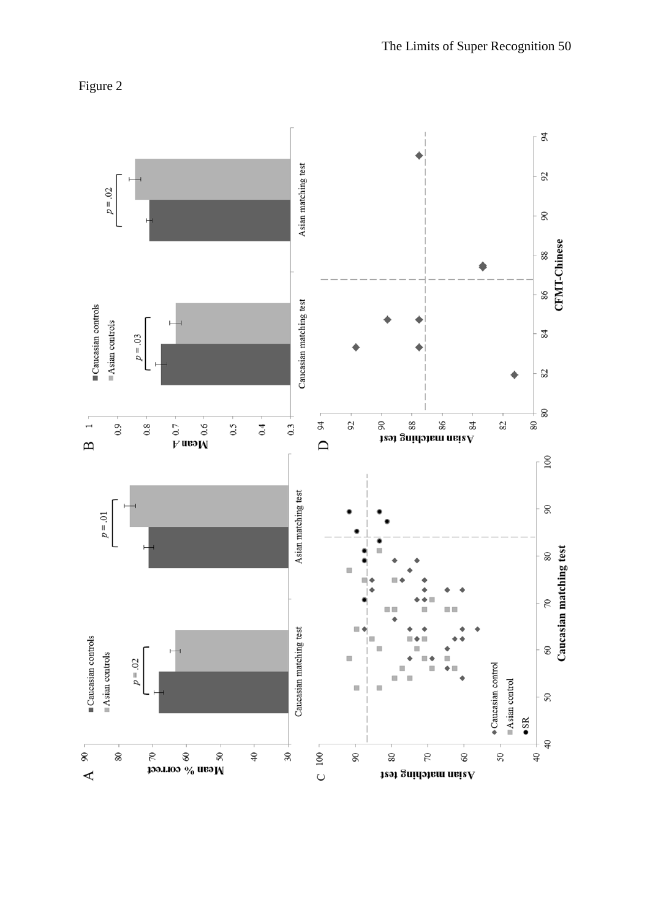

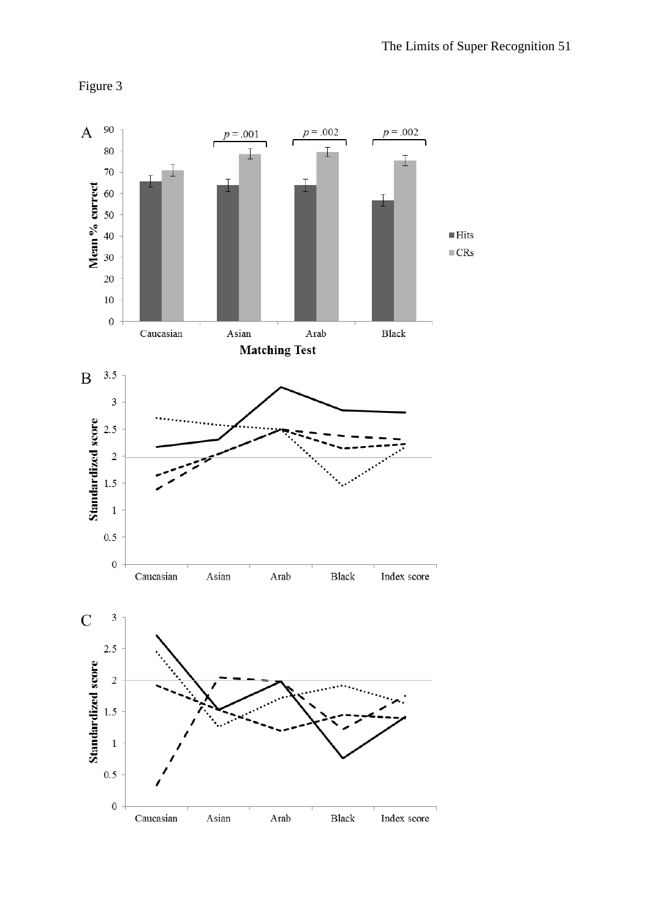